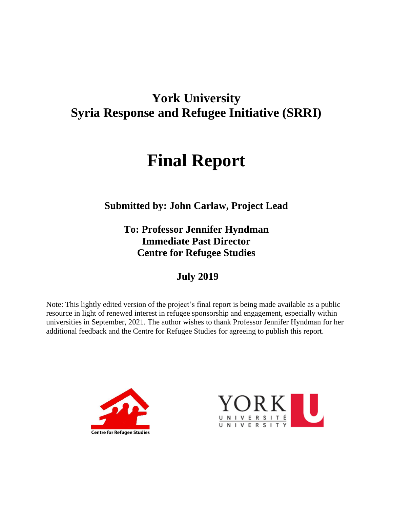# **York University Syria Response and Refugee Initiative (SRRI)**

# **Final Report**

**Submitted by: John Carlaw, Project Lead**

**To: Professor Jennifer Hyndman Immediate Past Director Centre for Refugee Studies**

**July 2019**

Note: This lightly edited version of the project's final report is being made available as a public resource in light of renewed interest in refugee sponsorship and engagement, especially within universities in September, 2021. The author wishes to thank Professor Jennifer Hyndman for her additional feedback and the Centre for Refugee Studies for agreeing to publish this report.



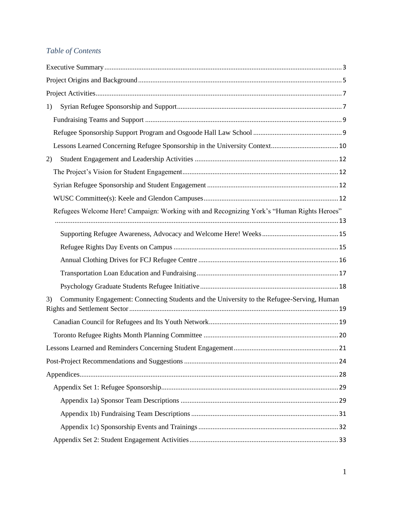# *Table of Contents*

| 1) |                                                                                            |  |
|----|--------------------------------------------------------------------------------------------|--|
|    |                                                                                            |  |
|    |                                                                                            |  |
|    |                                                                                            |  |
| 2) |                                                                                            |  |
|    |                                                                                            |  |
|    |                                                                                            |  |
|    |                                                                                            |  |
|    | Refugees Welcome Here! Campaign: Working with and Recognizing York's "Human Rights Heroes" |  |
|    |                                                                                            |  |
|    |                                                                                            |  |
|    |                                                                                            |  |
|    |                                                                                            |  |
|    |                                                                                            |  |
| 3) | Community Engagement: Connecting Students and the University to the Refugee-Serving, Human |  |
|    |                                                                                            |  |
|    |                                                                                            |  |
|    |                                                                                            |  |
|    |                                                                                            |  |
|    |                                                                                            |  |
|    |                                                                                            |  |
|    |                                                                                            |  |
|    |                                                                                            |  |
|    |                                                                                            |  |
|    |                                                                                            |  |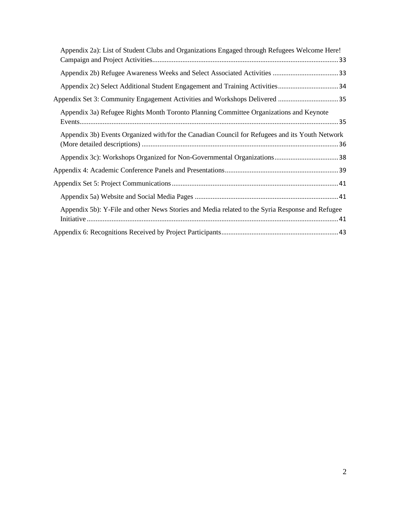| Appendix 2a): List of Student Clubs and Organizations Engaged through Refugees Welcome Here!    |
|-------------------------------------------------------------------------------------------------|
|                                                                                                 |
|                                                                                                 |
|                                                                                                 |
| Appendix 3a) Refugee Rights Month Toronto Planning Committee Organizations and Keynote          |
| Appendix 3b) Events Organized with/for the Canadian Council for Refugees and its Youth Network  |
|                                                                                                 |
|                                                                                                 |
|                                                                                                 |
|                                                                                                 |
| Appendix 5b): Y-File and other News Stories and Media related to the Syria Response and Refugee |
|                                                                                                 |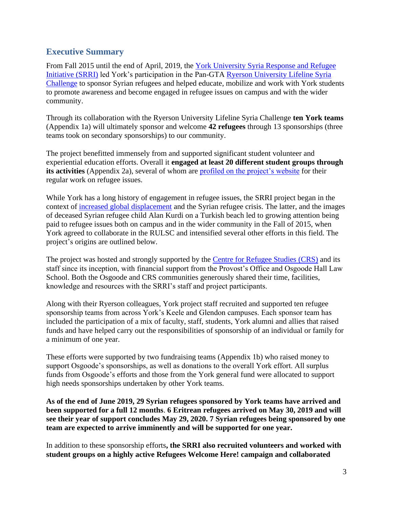# <span id="page-3-0"></span>**Executive Summary**

From Fall 2015 until the end of April, 2019, the [York University Syria Response and Refugee](http://www.yorku.ca/refugees)  [Initiative](http://www.yorku.ca/refugees) (SRRI) led York's participation in the Pan-GTA [Ryerson University Lifeline Syria](https://www.ryerson.ca/lifelinesyria/)  [Challenge](https://www.ryerson.ca/lifelinesyria/) to sponsor Syrian refugees and helped educate, mobilize and work with York students to promote awareness and become engaged in refugee issues on campus and with the wider community.

Through its collaboration with the Ryerson University Lifeline Syria Challenge **ten York teams** (Appendix 1a) will ultimately sponsor and welcome **42 refugees** through 13 sponsorships (three teams took on secondary sponsorships) to our community.

The project benefitted immensely from and supported significant student volunteer and experiential education efforts. Overall it **engaged at least 20 different student groups through its activities** (Appendix 2a), several of whom are [profiled on the project's website](https://refugees.info.yorku.ca/student-initiatives-groups/) for their regular work on refugee issues.

While York has a long history of engagement in refugee issues, the SRRI project began in the context of [increased global displacement](https://www.unhcr.org/statistics/unhcrstats/576408cd7/unhcr-global-trends-2015.html) and the Syrian refugee crisis. The latter, and the images of deceased Syrian refugee child Alan Kurdi on a Turkish beach led to growing attention being paid to refugee issues both on campus and in the wider community in the Fall of 2015, when York agreed to collaborate in the RULSC and intensified several other efforts in this field. The project's origins are outlined below.

The project was hosted and strongly supported by the [Centre for Refugee Studies](https://crs.info.yorku.ca/) (CRS) and its staff since its inception, with financial support from the Provost's Office and Osgoode Hall Law School. Both the Osgoode and CRS communities generously shared their time, facilities, knowledge and resources with the SRRI's staff and project participants.

Along with their Ryerson colleagues, York project staff recruited and supported ten refugee sponsorship teams from across York's Keele and Glendon campuses. Each sponsor team has included the participation of a mix of faculty, staff, students, York alumni and allies that raised funds and have helped carry out the responsibilities of sponsorship of an individual or family for a minimum of one year.

These efforts were supported by two fundraising teams (Appendix 1b) who raised money to support Osgoode's sponsorships, as well as donations to the overall York effort. All surplus funds from Osgoode's efforts and those from the York general fund were allocated to support high needs sponsorships undertaken by other York teams.

**As of the end of June 2019, 29 Syrian refugees sponsored by York teams have arrived and been supported for a full 12 months**. **6 Eritrean refugees arrived on May 30, 2019 and will see their year of support concludes May 29, 2020. 7 Syrian refugees being sponsored by one team are expected to arrive imminently and will be supported for one year.** 

In addition to these sponsorship efforts**, the SRRI also recruited volunteers and worked with student groups on a highly active Refugees Welcome Here! campaign and collaborated**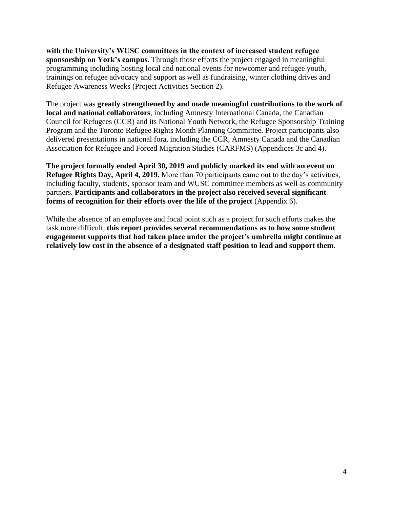**with the University's WUSC committees in the context of increased student refugee sponsorship on York's campus.** Through those efforts the project engaged in meaningful programming including hosting local and national events for newcomer and refugee youth, trainings on refugee advocacy and support as well as fundraising, winter clothing drives and Refugee Awareness Weeks (Project Activities Section 2).

The project was **greatly strengthened by and made meaningful contributions to the work of local and national collaborators**, including Amnesty International Canada, the Canadian Council for Refugees (CCR) and its National Youth Network, the Refugee Sponsorship Training Program and the Toronto Refugee Rights Month Planning Committee. Project participants also delivered presentations in national fora, including the CCR, Amnesty Canada and the Canadian Association for Refugee and Forced Migration Studies (CARFMS) (Appendices 3c and 4).

**The project formally ended April 30, 2019 and publicly marked its end with an event on Refugee Rights Day, April 4, 2019.** More than 70 participants came out to the day's activities, including faculty, students, sponsor team and WUSC committee members as well as community partners. **Participants and collaborators in the project also received several significant forms of recognition for their efforts over the life of the project** (Appendix 6).

While the absence of an employee and focal point such as a project for such efforts makes the task more difficult, **this report provides several recommendations as to how some student engagement supports that had taken place under the project's umbrella might continue at relatively low cost in the absence of a designated staff position to lead and support them**.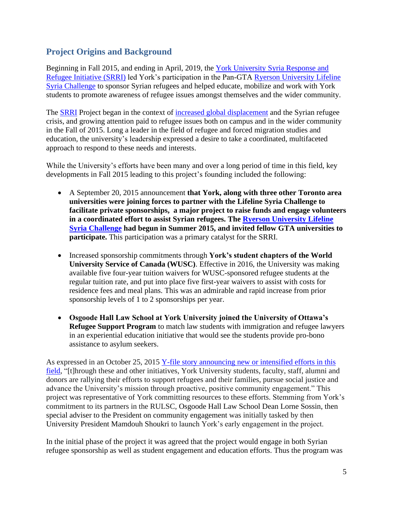# <span id="page-5-0"></span>**Project Origins and Background**

Beginning in Fall 2015, and ending in April, 2019, the [York University Syria Response and](http://www.yorku.ca/refugees)  [Refugee Initiative](http://www.yorku.ca/refugees) (SRRI) led York's participation in the Pan-GTA [Ryerson University Lifeline](https://www.ryerson.ca/content/dam/lifelinesyria/RULSC_AR_REPORT_DIGITAL_July19_AODA_FINAL.pdf)  [Syria Challenge](https://www.ryerson.ca/content/dam/lifelinesyria/RULSC_AR_REPORT_DIGITAL_July19_AODA_FINAL.pdf) to sponsor Syrian refugees and helped educate, mobilize and work with York students to promote awareness of refugee issues amongst themselves and the wider community.

The **SRRI** Project began in the context of [increased global displacement](https://www.unhcr.org/statistics/unhcrstats/576408cd7/unhcr-global-trends-2015.html) and the Syrian refugee crisis, and growing attention paid to refugee issues both on campus and in the wider community in the Fall of 2015. Long a leader in the field of refugee and forced migration studies and education, the university's leadership expressed a desire to take a coordinated, multifaceted approach to respond to these needs and interests.

While the University's efforts have been many and over a long period of time in this field, key developments in Fall 2015 leading to this project's founding included the following:

- A September 20, 2015 announcement **that York, along with three other Toronto area universities were joining forces to partner with the Lifeline Syria Challenge to facilitate private sponsorships, a major project to raise funds and engage volunteers in a coordinated effort to assist Syrian refugees. The [Ryerson University Lifeline](https://www.ryerson.ca/content/dam/lifelinesyria/RULSC_AR_REPORT_DIGITAL_July19_AODA_FINAL.pdf)  [Syria Challenge](https://www.ryerson.ca/content/dam/lifelinesyria/RULSC_AR_REPORT_DIGITAL_July19_AODA_FINAL.pdf) had begun in Summer 2015, and invited fellow GTA universities to participate.** This participation was a primary catalyst for the SRRI.
- Increased sponsorship commitments through **York's student chapters of the World University Service of Canada (WUSC)**. Effective in 2016, the University was making available five four-year tuition waivers for WUSC-sponsored refugee students at the regular tuition rate, and put into place five first-year waivers to assist with costs for residence fees and meal plans. This was an admirable and rapid increase from prior sponsorship levels of 1 to 2 sponsorships per year.
- **Osgoode Hall Law School at York University joined the University of Ottawa's Refugee Support Program** to match law students with immigration and refugee lawyers in an experiential education initiative that would see the students provide pro-bono assistance to asylum seekers.

As expressed in an October 25, 2015 Y-file story [announcing new or intensified efforts in this](http://yfile.news.yorku.ca/2015/10/25/york-university-broadens-its-support-of-refugees-globally/)  [field,](http://yfile.news.yorku.ca/2015/10/25/york-university-broadens-its-support-of-refugees-globally/) "[t]hrough these and other initiatives, York University students, faculty, staff, alumni and donors are rallying their efforts to support refugees and their families, pursue social justice and advance the University's mission through proactive, positive community engagement." This project was representative of York committing resources to these efforts. Stemming from York's commitment to its partners in the RULSC, Osgoode Hall Law School Dean Lorne Sossin, then special adviser to the President on community engagement was initially tasked by then University President Mamdouh Shoukri to launch York's early engagement in the project.

In the initial phase of the project it was agreed that the project would engage in both Syrian refugee sponsorship as well as student engagement and education efforts. Thus the program was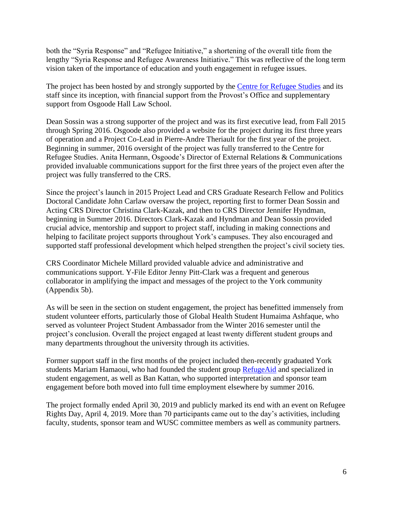both the "Syria Response" and "Refugee Initiative," a shortening of the overall title from the lengthy "Syria Response and Refugee Awareness Initiative." This was reflective of the long term vision taken of the importance of education and youth engagement in refugee issues.

The project has been hosted by and strongly supported by the [Centre for Refugee Studies](https://crs.info.yorku.ca/) and its staff since its inception, with financial support from the Provost's Office and supplementary support from Osgoode Hall Law School.

Dean Sossin was a strong supporter of the project and was its first executive lead, from Fall 2015 through Spring 2016. Osgoode also provided a website for the project during its first three years of operation and a Project Co-Lead in Pierre-Andre Theriault for the first year of the project. Beginning in summer, 2016 oversight of the project was fully transferred to the Centre for Refugee Studies. Anita Hermann, Osgoode's Director of External Relations & Communications provided invaluable communications support for the first three years of the project even after the project was fully transferred to the CRS.

Since the project's launch in 2015 Project Lead and CRS Graduate Research Fellow and Politics Doctoral Candidate John Carlaw oversaw the project, reporting first to former Dean Sossin and Acting CRS Director Christina Clark-Kazak, and then to CRS Director Jennifer Hyndman, beginning in Summer 2016. Directors Clark-Kazak and Hyndman and Dean Sossin provided crucial advice, mentorship and support to project staff, including in making connections and helping to facilitate project supports throughout York's campuses. They also encouraged and supported staff professional development which helped strengthen the project's civil society ties.

CRS Coordinator Michele Millard provided valuable advice and administrative and communications support. Y-File Editor Jenny Pitt-Clark was a frequent and generous collaborator in amplifying the impact and messages of the project to the York community (Appendix 5b).

As will be seen in the section on student engagement, the project has benefitted immensely from student volunteer efforts, particularly those of Global Health Student Humaima Ashfaque, who served as volunteer Project Student Ambassador from the Winter 2016 semester until the project's conclusion. Overall the project engaged at least twenty different student groups and many departments throughout the university through its activities.

Former support staff in the first months of the project included then-recently graduated York students Mariam Hamaoui, who had founded the student group [RefugeAid](https://www.facebook.com/RefugeAid/) and specialized in student engagement, as well as Ban Kattan, who supported interpretation and sponsor team engagement before both moved into full time employment elsewhere by summer 2016.

The project formally ended April 30, 2019 and publicly marked its end with an event on Refugee Rights Day, April 4, 2019. More than 70 participants came out to the day's activities, including faculty, students, sponsor team and WUSC committee members as well as community partners.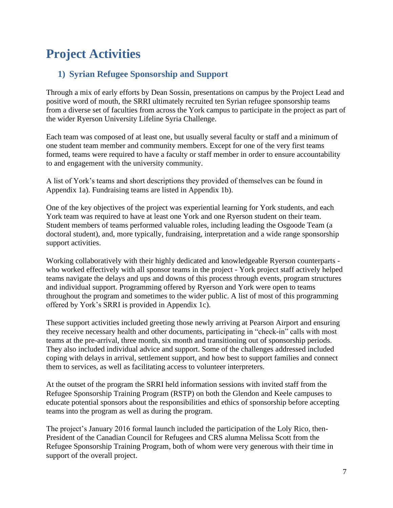# <span id="page-7-1"></span><span id="page-7-0"></span>**Project Activities**

# **1) Syrian Refugee Sponsorship and Support**

Through a mix of early efforts by Dean Sossin, presentations on campus by the Project Lead and positive word of mouth, the SRRI ultimately recruited ten Syrian refugee sponsorship teams from a diverse set of faculties from across the York campus to participate in the project as part of the wider Ryerson University Lifeline Syria Challenge.

Each team was composed of at least one, but usually several faculty or staff and a minimum of one student team member and community members. Except for one of the very first teams formed, teams were required to have a faculty or staff member in order to ensure accountability to and engagement with the university community.

A list of York's teams and short descriptions they provided of themselves can be found in Appendix 1a). Fundraising teams are listed in Appendix 1b).

One of the key objectives of the project was experiential learning for York students, and each York team was required to have at least one York and one Ryerson student on their team. Student members of teams performed valuable roles, including leading the Osgoode Team (a doctoral student), and, more typically, fundraising, interpretation and a wide range sponsorship support activities.

Working collaboratively with their highly dedicated and knowledgeable Ryerson counterparts who worked effectively with all sponsor teams in the project - York project staff actively helped teams navigate the delays and ups and downs of this process through events, program structures and individual support. Programming offered by Ryerson and York were open to teams throughout the program and sometimes to the wider public. A list of most of this programming offered by York's SRRI is provided in Appendix 1c).

These support activities included greeting those newly arriving at Pearson Airport and ensuring they receive necessary health and other documents, participating in "check-in" calls with most teams at the pre-arrival, three month, six month and transitioning out of sponsorship periods. They also included individual advice and support. Some of the challenges addressed included coping with delays in arrival, settlement support, and how best to support families and connect them to services, as well as facilitating access to volunteer interpreters.

At the outset of the program the SRRI held information sessions with invited staff from the Refugee Sponsorship Training Program (RSTP) on both the Glendon and Keele campuses to educate potential sponsors about the responsibilities and ethics of sponsorship before accepting teams into the program as well as during the program.

The project's January 2016 formal launch included the participation of the Loly Rico, then-President of the Canadian Council for Refugees and CRS alumna Melissa Scott from the Refugee Sponsorship Training Program, both of whom were very generous with their time in support of the overall project.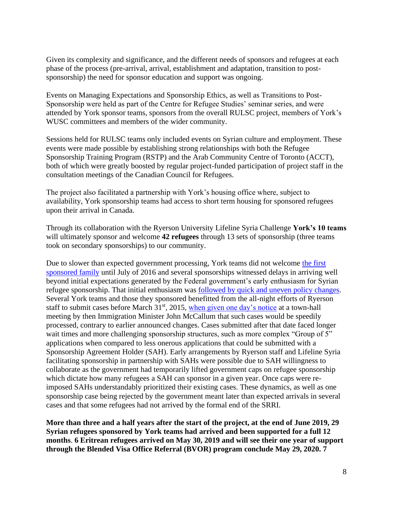Given its complexity and significance, and the different needs of sponsors and refugees at each phase of the process (pre-arrival, arrival, establishment and adaptation, transition to postsponsorship) the need for sponsor education and support was ongoing.

Events on Managing Expectations and Sponsorship Ethics, as well as Transitions to Post-Sponsorship were held as part of the Centre for Refugee Studies' seminar series, and were attended by York sponsor teams, sponsors from the overall RULSC project, members of York's WUSC committees and members of the wider community.

Sessions held for RULSC teams only included events on Syrian culture and employment. These events were made possible by establishing strong relationships with both the Refugee Sponsorship Training Program (RSTP) and the Arab Community Centre of Toronto (ACCT), both of which were greatly boosted by regular project-funded participation of project staff in the consultation meetings of the Canadian Council for Refugees.

The project also facilitated a partnership with York's housing office where, subject to availability, York sponsorship teams had access to short term housing for sponsored refugees upon their arrival in Canada.

Through its collaboration with the Ryerson University Lifeline Syria Challenge **York's 10 teams** will ultimately sponsor and welcome **42 refugees** through 13 sets of sponsorship (three teams took on secondary sponsorships) to our community.

Due to slower than expected government processing, York teams did not welcome the [first](http://yfile.news.yorku.ca/2016/10/05/york-u-welcomes-first-sponsored-syrian-refugee-family/)  [sponsored family](http://yfile.news.yorku.ca/2016/10/05/york-u-welcomes-first-sponsored-syrian-refugee-family/) until July of 2016 and several sponsorships witnessed delays in arriving well beyond initial expectations generated by the Federal government's early enthusiasm for Syrian refugee sponsorship. That initial enthusiasm was [followed by quick and uneven policy changes.](http://www.macleans.ca/politics/sponsors-of-syrian-refugees-are-left-in-limbo/) Several York teams and those they sponsored benefitted from the all-night efforts of Ryerson staff to submit cases before March  $31<sup>st</sup>$ , 2015, [when given one day's notice](https://www.theglobeandmail.com/news/politics/mccallum-reverses-changes-for-intake-of-privately-sponsored-syrian-refugees/article29470462/) at a town-hall meeting by then Immigration Minister John McCallum that such cases would be speedily processed, contrary to earlier announced changes. Cases submitted after that date faced longer wait times and more challenging sponsorship structures, such as more complex "Group of 5" applications when compared to less onerous applications that could be submitted with a Sponsorship Agreement Holder (SAH). Early arrangements by Ryerson staff and Lifeline Syria facilitating sponsorship in partnership with SAHs were possible due to SAH willingness to collaborate as the government had temporarily lifted government caps on refugee sponsorship which dictate how many refugees a SAH can sponsor in a given year. Once caps were reimposed SAHs understandably prioritized their existing cases. These dynamics, as well as one sponsorship case being rejected by the government meant later than expected arrivals in several cases and that some refugees had not arrived by the formal end of the SRRI.

**More than three and a half years after the start of the project, at the end of June 2019, 29 Syrian refugees sponsored by York teams had arrived and been supported for a full 12 months**. **6 Eritrean refugees arrived on May 30, 2019 and will see their one year of support through the Blended Visa Office Referral (BVOR) program conclude May 29, 2020. 7**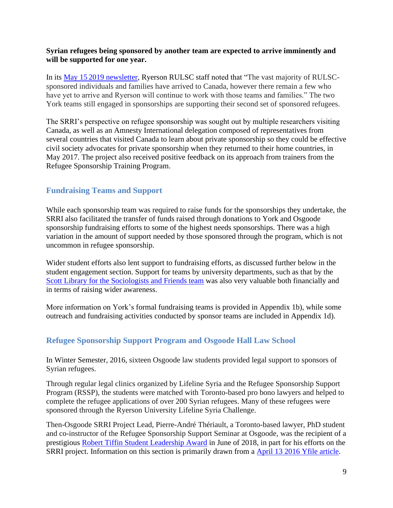## **Syrian refugees being sponsored by another team are expected to arrive imminently and will be supported for one year.**

In its May 15 2019 [newsletter,](http://secure.campaigner.com/csb/Public/show/cgyn-12km9a--kta39-5kpsddn7) Ryerson RULSC staff noted that "The vast majority of RULSCsponsored individuals and families have arrived to Canada, however there remain a few who have yet to arrive and Ryerson will continue to work with those teams and families." The two York teams still engaged in sponsorships are supporting their second set of sponsored refugees.

The SRRI's perspective on refugee sponsorship was sought out by multiple researchers visiting Canada, as well as an Amnesty International delegation composed of representatives from several countries that visited Canada to learn about private sponsorship so they could be effective civil society advocates for private sponsorship when they returned to their home countries, in May 2017. The project also received positive feedback on its approach from trainers from the Refugee Sponsorship Training Program.

# <span id="page-9-0"></span>**Fundraising Teams and Support**

While each sponsorship team was required to raise funds for the sponsorships they undertake, the SRRI also facilitated the transfer of funds raised through donations to York and Osgoode sponsorship fundraising efforts to some of the highest needs sponsorships. There was a high variation in the amount of support needed by those sponsored through the program, which is not uncommon in refugee sponsorship.

Wider student efforts also lent support to fundraising efforts, as discussed further below in the student engagement section. Support for teams by university departments, such as that by the Scott Library for [the Sociologists and Friends team](http://yfile.news.yorku.ca/2016/02/02/university-libraries-hosts-four-day-event-to-benefit-syrian-refugees/) was also very valuable both financially and in terms of raising wider awareness.

More information on York's formal fundraising teams is provided in Appendix 1b), while some outreach and fundraising activities conducted by sponsor teams are included in Appendix 1d).

# <span id="page-9-1"></span>**Refugee Sponsorship Support Program and Osgoode Hall Law School**

In Winter Semester, 2016, sixteen Osgoode law students provided legal support to sponsors of Syrian refugees.

Through regular legal clinics organized by Lifeline Syria and the Refugee Sponsorship Support Program (RSSP), the students were matched with Toronto-based pro bono lawyers and helped to complete the refugee applications of over 200 Syrian refugees. Many of these refugees were sponsored through the Ryerson University Lifeline Syria Challenge.

Then-Osgoode SRRI Project Lead, Pierre-André Thériault, a Toronto-based lawyer, PhD student and co-instructor of the Refugee Sponsorship Support Seminar at Osgoode, was the recipient of a prestigious [Robert Tiffin Student Leadership Award](https://www.linkedin.com/pulse/congratulations-pierre-andr%C3%A9-th%C3%A9riault-york-tiffin-award-john-carlaw/) in June of 2018, in part for his efforts on the SRRI project. Information on this section is primarily drawn from a [April 13 2016](http://yfile.news.yorku.ca/2016/04/13/osgoode-hall-law-school-students-providing-legal-support-to-refugees/) Yfile article.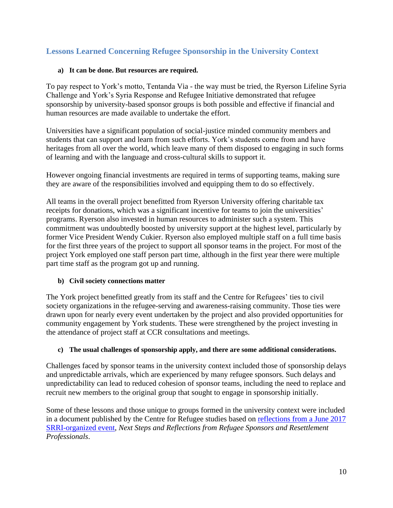# <span id="page-10-0"></span>**Lessons Learned Concerning Refugee Sponsorship in the University Context**

## **a) It can be done. But resources are required.**

To pay respect to York's motto, Tentanda Via - the way must be tried, the Ryerson Lifeline Syria Challenge and York's Syria Response and Refugee Initiative demonstrated that refugee sponsorship by university-based sponsor groups is both possible and effective if financial and human resources are made available to undertake the effort.

Universities have a significant population of social-justice minded community members and students that can support and learn from such efforts. York's students come from and have heritages from all over the world, which leave many of them disposed to engaging in such forms of learning and with the language and cross-cultural skills to support it.

However ongoing financial investments are required in terms of supporting teams, making sure they are aware of the responsibilities involved and equipping them to do so effectively.

All teams in the overall project benefitted from Ryerson University offering charitable tax receipts for donations, which was a significant incentive for teams to join the universities' programs. Ryerson also invested in human resources to administer such a system. This commitment was undoubtedly boosted by university support at the highest level, particularly by former Vice President Wendy Cukier. Ryerson also employed multiple staff on a full time basis for the first three years of the project to support all sponsor teams in the project. For most of the project York employed one staff person part time, although in the first year there were multiple part time staff as the program got up and running.

## **b) Civil society connections matter**

The York project benefitted greatly from its staff and the Centre for Refugees' ties to civil society organizations in the refugee-serving and awareness-raising community. Those ties were drawn upon for nearly every event undertaken by the project and also provided opportunities for community engagement by York students. These were strengthened by the project investing in the attendance of project staff at CCR consultations and meetings.

## **c) The usual challenges of sponsorship apply, and there are some additional considerations.**

Challenges faced by sponsor teams in the university context included those of sponsorship delays and unpredictable arrivals, which are experienced by many refugee sponsors. Such delays and unpredictability can lead to reduced cohesion of sponsor teams, including the need to replace and recruit new members to the original group that sought to engage in sponsorship initially.

Some of these lessons and those unique to groups formed in the university context were included in a document published by the Centre for Refugee studies based on [reflections from a June 2017](https://www.google.com/url?sa=t&rct=j&q=&esrc=s&source=web&cd=1&cad=rja&uact=8&ved=2ahUKEwiqzYK4qp7jAhXymOAKHcaiCSgQFjAAegQIBhAB&url=http%3A%2F%2Fcrs.info.yorku.ca%2Fnext-steps-and-reflections-from-refugee-sponsors-and-resettlement-professionals&usg=AOvVaw2Z3ui3CgKHRduW2Q-LzR2S)  [SRRI-organized event,](https://www.google.com/url?sa=t&rct=j&q=&esrc=s&source=web&cd=1&cad=rja&uact=8&ved=2ahUKEwiqzYK4qp7jAhXymOAKHcaiCSgQFjAAegQIBhAB&url=http%3A%2F%2Fcrs.info.yorku.ca%2Fnext-steps-and-reflections-from-refugee-sponsors-and-resettlement-professionals&usg=AOvVaw2Z3ui3CgKHRduW2Q-LzR2S) *Next Steps and Reflections from Refugee Sponsors and Resettlement Professionals*.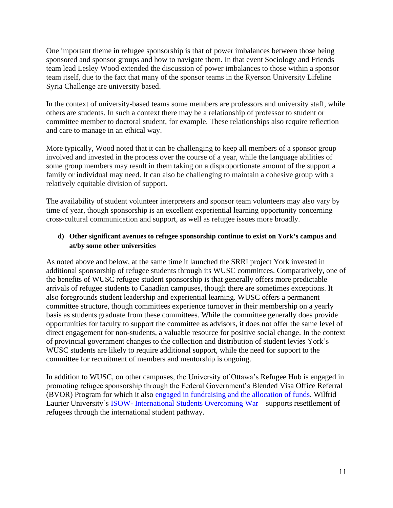One important theme in refugee sponsorship is that of power imbalances between those being sponsored and sponsor groups and how to navigate them. In that event Sociology and Friends team lead Lesley Wood extended the discussion of power imbalances to those within a sponsor team itself*,* due to the fact that many of the sponsor teams in the Ryerson University Lifeline Syria Challenge are university based.

In the context of university-based teams some members are professors and university staff, while others are students. In such a context there may be a relationship of professor to student or committee member to doctoral student, for example. These relationships also require reflection and care to manage in an ethical way.

More typically, Wood noted that it can be challenging to keep all members of a sponsor group involved and invested in the process over the course of a year, while the language abilities of some group members may result in them taking on a disproportionate amount of the support a family or individual may need. It can also be challenging to maintain a cohesive group with a relatively equitable division of support.

The availability of student volunteer interpreters and sponsor team volunteers may also vary by time of year, though sponsorship is an excellent experiential learning opportunity concerning cross-cultural communication and support, as well as refugee issues more broadly.

## **d) Other significant avenues to refugee sponsorship continue to exist on York's campus and at/by some other universities**

As noted above and below, at the same time it launched the SRRI project York invested in additional sponsorship of refugee students through its WUSC committees. Comparatively, one of the benefits of WUSC refugee student sponsorship is that generally offers more predictable arrivals of refugee students to Canadian campuses, though there are sometimes exceptions. It also foregrounds student leadership and experiential learning. WUSC offers a permanent committee structure, though committees experience turnover in their membership on a yearly basis as students graduate from these committees. While the committee generally does provide opportunities for faculty to support the committee as advisors, it does not offer the same level of direct engagement for non-students, a valuable resource for positive social change. In the context of provincial government changes to the collection and distribution of student levies York's WUSC students are likely to require additional support, while the need for support to the committee for recruitment of members and mentorship is ongoing.

In addition to WUSC, on other campuses, the University of Ottawa's Refugee Hub is engaged in promoting refugee sponsorship through the Federal Government's Blended Visa Office Referral (BVOR) Program for which it also [engaged in fundraising and the allocation of funds.](https://needslist.co/bvorfund) Wilfrid Laurier University's ISOW- [International Students Overcoming War](http://www.isow.ca/) – supports resettlement of refugees through the international student pathway.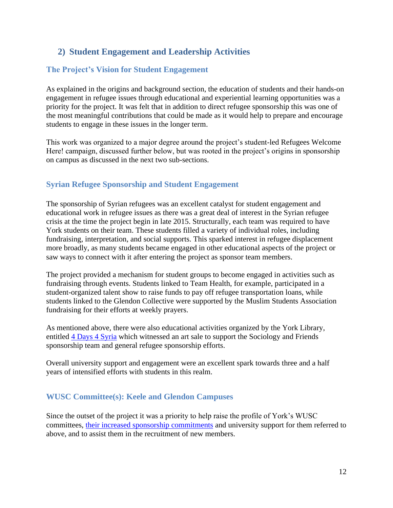# <span id="page-12-0"></span>**2) Student Engagement and Leadership Activities**

# <span id="page-12-1"></span>**The Project's Vision for Student Engagement**

As explained in the origins and background section, the education of students and their hands-on engagement in refugee issues through educational and experiential learning opportunities was a priority for the project. It was felt that in addition to direct refugee sponsorship this was one of the most meaningful contributions that could be made as it would help to prepare and encourage students to engage in these issues in the longer term.

This work was organized to a major degree around the project's student-led Refugees Welcome Here! campaign, discussed further below, but was rooted in the project's origins in sponsorship on campus as discussed in the next two sub-sections.

# <span id="page-12-2"></span>**Syrian Refugee Sponsorship and Student Engagement**

The sponsorship of Syrian refugees was an excellent catalyst for student engagement and educational work in refugee issues as there was a great deal of interest in the Syrian refugee crisis at the time the project begin in late 2015. Structurally, each team was required to have York students on their team. These students filled a variety of individual roles, including fundraising, interpretation, and social supports. This sparked interest in refugee displacement more broadly, as many students became engaged in other educational aspects of the project or saw ways to connect with it after entering the project as sponsor team members.

The project provided a mechanism for student groups to become engaged in activities such as fundraising through events. Students linked to Team Health, for example, participated in a student-organized talent show to raise funds to pay off refugee transportation loans, while students linked to the Glendon Collective were supported by the Muslim Students Association fundraising for their efforts at weekly prayers.

As mentioned above, there were also educational activities organized by the York Library, entitled [4 Days 4 Syria](http://yfile.news.yorku.ca/2016/02/02/university-libraries-hosts-four-day-event-to-benefit-syrian-refugees/) which witnessed an art sale to support the Sociology and Friends sponsorship team and general refugee sponsorship efforts.

Overall university support and engagement were an excellent spark towards three and a half years of intensified efforts with students in this realm.

# <span id="page-12-3"></span>**WUSC Committee(s): Keele and Glendon Campuses**

Since the outset of the project it was a priority to help raise the profile of York's WUSC committees, [their increased sponsorship commitments](https://refugees.info.yorku.ca/wusc-refugee-sponsorship/) and university support for them referred to above, and to assist them in the recruitment of new members.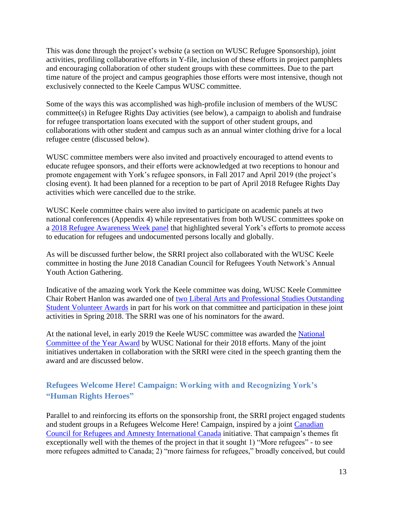This was done through the project's website (a section on WUSC Refugee Sponsorship), joint activities, profiling collaborative efforts in Y-file, inclusion of these efforts in project pamphlets and encouraging collaboration of other student groups with these committees. Due to the part time nature of the project and campus geographies those efforts were most intensive, though not exclusively connected to the Keele Campus WUSC committee.

Some of the ways this was accomplished was high-profile inclusion of members of the WUSC committee(s) in Refugee Rights Day activities (see below), a campaign to abolish and fundraise for refugee transportation loans executed with the support of other student groups, and collaborations with other student and campus such as an annual winter clothing drive for a local refugee centre (discussed below).

WUSC committee members were also invited and proactively encouraged to attend events to educate refugee sponsors, and their efforts were acknowledged at two receptions to honour and promote engagement with York's refugee sponsors, in Fall 2017 and April 2019 (the project's closing event). It had been planned for a reception to be part of April 2018 Refugee Rights Day activities which were cancelled due to the strike.

WUSC Keele committee chairs were also invited to participate on academic panels at two national conferences (Appendix 4) while representatives from both WUSC committees spoke on a [2018 Refugee Awareness Week panel](http://crs.info.yorku.ca/archives/event/creating-pathways-and-crossing-borders-access-to-higher-education-for-refugees-and-precarious-migrants?instance_id=126) that highlighted several York's efforts to promote access to education for refugees and undocumented persons locally and globally.

As will be discussed further below, the SRRI project also collaborated with the WUSC Keele committee in hosting the June 2018 Canadian Council for Refugees Youth Network's Annual Youth Action Gathering.

Indicative of the amazing work York the Keele committee was doing, WUSC Keele Committee Chair Robert Hanlon was awarded one of [two Liberal Arts and Professional Studies Outstanding](https://laps.yorku.ca/2018/05/annual-ceremony-celebrates-student-engagement-and-leadership/)  [Student Volunteer Awards](https://laps.yorku.ca/2018/05/annual-ceremony-celebrates-student-engagement-and-leadership/) in part for his work on that committee and participation in these joint activities in Spring 2018. The SRRI was one of his nominators for the award.

At the national level, in early 2019 the Keele WUSC committee was awarded the [National](https://yfile.news.yorku.ca/2019/03/17/national-recognition-given-to-york-student-group-supporting-refugees/)  [Committee of the Year Award](https://yfile.news.yorku.ca/2019/03/17/national-recognition-given-to-york-student-group-supporting-refugees/) by WUSC National for their 2018 efforts. Many of the joint initiatives undertaken in collaboration with the SRRI were cited in the speech granting them the award and are discussed below.

# <span id="page-13-0"></span>**Refugees Welcome Here! Campaign: Working with and Recognizing York's "Human Rights Heroes"**

Parallel to and reinforcing its efforts on the sponsorship front, the SRRI project engaged students and student groups in a Refugees Welcome Here! Campaign, inspired by a joint [Canadian](http://ccrweb.ca/en/refugees-welcome-here)  [Council for Refugees and Amnesty International](http://ccrweb.ca/en/refugees-welcome-here) Canada initiative. That campaign's themes fit exceptionally well with the themes of the project in that it sought 1) "More refugees" - to see more refugees admitted to Canada; 2) "more fairness for refugees," broadly conceived, but could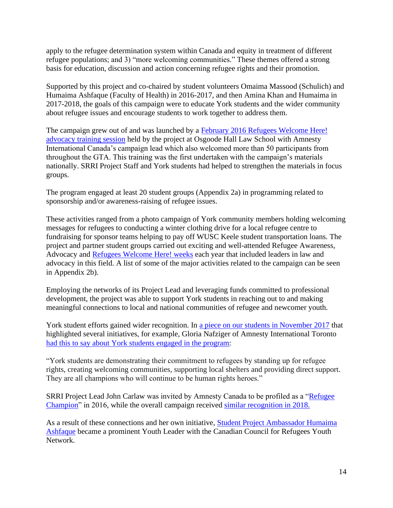apply to the refugee determination system within Canada and equity in treatment of different refugee populations; and 3) "more welcoming communities." These themes offered a strong basis for education, discussion and action concerning refugee rights and their promotion.

Supported by this project and co-chaired by student volunteers Omaima Massood (Schulich) and Humaima Ashfaque (Faculty of Health) in 2016-2017, and then Amina Khan and Humaima in 2017-2018, the goals of this campaign were to educate York students and the wider community about refugee issues and encourage students to work together to address them.

The campaign grew out of and was launched by a [February 2016 Refugees Welcome Here!](http://yfile.news.yorku.ca/2016/02/23/york-university-hosts-refugee-advocacy-week-feb-29-to-march-5-at-the-keele-campus/)  [advocacy training](http://yfile.news.yorku.ca/2016/02/23/york-university-hosts-refugee-advocacy-week-feb-29-to-march-5-at-the-keele-campus/) session held by the project at Osgoode Hall Law School with Amnesty International Canada's campaign lead which also welcomed more than 50 participants from throughout the GTA. This training was the first undertaken with the campaign's materials nationally. SRRI Project Staff and York students had helped to strengthen the materials in focus groups.

The program engaged at least 20 student groups (Appendix 2a) in programming related to sponsorship and/or awareness-raising of refugee issues.

These activities ranged from a photo campaign of York community members holding welcoming messages for refugees to conducting a winter clothing drive for a local refugee centre to fundraising for sponsor teams helping to pay off WUSC Keele student transportation loans. The project and partner student groups carried out exciting and well-attended Refugee Awareness, Advocacy and [Refugees Welcome Here! weeks](http://yfile.news.yorku.ca/2017/03/05/york-students-lead-the-way-during-refugees-welcome-here-week-at-the-keele-campus/) each year that included leaders in law and advocacy in this field. A list of some of the major activities related to the campaign can be seen in Appendix 2b).

Employing the networks of its Project Lead and leveraging funds committed to professional development, the project was able to support York students in reaching out to and making meaningful connections to local and national communities of refugee and newcomer youth.

York student efforts gained wider recognition. In [a piece on our students in November 2017](http://yfile.news.yorku.ca/2017/11/22/york-us-human-rights-student-heroes-working-hard-to-ensure-refugees-feel-welcome/) that highlighted several initiatives, for example, Gloria Nafziger of Amnesty International Toronto [had this to say about York](http://yfile.news.yorku.ca/2017/11/22/york-us-human-rights-student-heroes-working-hard-to-ensure-refugees-feel-welcome/) students engaged in the program:

"York students are demonstrating their commitment to refugees by standing up for refugee rights, creating welcoming communities, supporting local shelters and providing direct support. They are all champions who will continue to be human rights heroes."

SRRI Project Lead John Carlaw was invited by Amnesty Canada to be profiled as a ["Refugee](http://www.amnesty.ca/blog/canadian-refugee-champion-john-carlaws-story)  [Champion"](http://www.amnesty.ca/blog/canadian-refugee-champion-john-carlaws-story) in 2016, while the overall campaign received [similar recognition in 2018.](https://www.amnesty.ca/blog/canadian-refugee-champion-york-university-refugees-welcome-here)

As a result of these connections and her own initiative, [Student Project Ambassador Humaima](http://secure.campaigner.com/csb/Public/show/fa7tc--bxlax-5kpsbdk2)  [Ashfaque](http://secure.campaigner.com/csb/Public/show/fa7tc--bxlax-5kpsbdk2) became a prominent Youth Leader with the Canadian Council for Refugees Youth Network.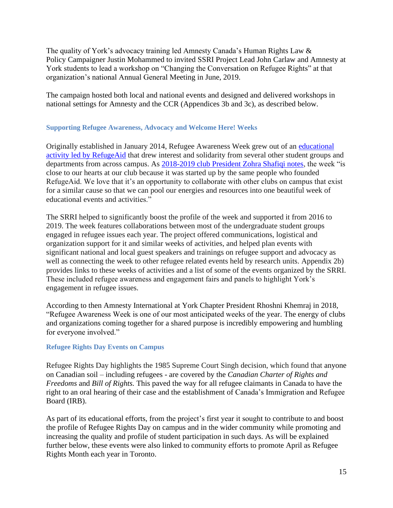The quality of York's advocacy training led Amnesty Canada's Human Rights Law & Policy Campaigner Justin Mohammed to invited SSRI Project Lead John Carlaw and Amnesty at York students to lead a workshop on "Changing the Conversation on Refugee Rights" at that organization's national Annual General Meeting in June, 2019.

The campaign hosted both local and national events and designed and delivered workshops in national settings for Amnesty and the CCR (Appendices 3b and 3c), as described below.

## <span id="page-15-0"></span>**Supporting Refugee Awareness, Advocacy and Welcome Here! Weeks**

Originally established in January 2014, Refugee Awareness Week grew out of an [educational](https://m.facebook.com/RefugeAid/photos/?tab=album&album_id=391975290945862&ref=content_filter)  [activity led by RefugeAid](https://m.facebook.com/RefugeAid/photos/?tab=album&album_id=391975290945862&ref=content_filter) that drew interest and solidarity from several other student groups and departments from across campus. As [2018-2019 club President Zohra Shafiqi notes,](http://yfile.news.yorku.ca/2019/01/23/sixth-annual-student-led-refugee-awareness-week-runs-jan-28-to-feb-1-at-the-keele-campus/) the week "is close to our hearts at our club because it was started up by the same people who founded RefugeAid. We love that it's an opportunity to collaborate with other clubs on campus that exist for a similar cause so that we can pool our energies and resources into one beautiful week of educational events and activities."

The SRRI helped to significantly boost the profile of the week and supported it from 2016 to 2019. The week features collaborations between most of the undergraduate student groups engaged in refugee issues each year. The project offered communications, logistical and organization support for it and similar weeks of activities, and helped plan events with significant national and local guest speakers and trainings on refugee support and advocacy as well as connecting the week to other refugee related events held by research units. Appendix 2b) provides links to these weeks of activities and a list of some of the events organized by the SRRI. These included refugee awareness and engagement fairs and panels to highlight York's engagement in refugee issues.

According to then Amnesty International at York Chapter President Rhoshni Khemraj in 2018, "Refugee Awareness Week is one of our most anticipated weeks of the year. The energy of clubs and organizations coming together for a shared purpose is incredibly empowering and humbling for everyone involved."

## <span id="page-15-1"></span>**Refugee Rights Day Events on Campus**

Refugee Rights Day highlights the 1985 Supreme Court Singh decision, which found that anyone on Canadian soil – including refugees - are covered by the *Canadian Charter of Rights and Freedoms* and *Bill of Rights.* This paved the way for all refugee claimants in Canada to have the right to an oral hearing of their case and the establishment of Canada's Immigration and Refugee Board (IRB).

As part of its educational efforts, from the project's first year it sought to contribute to and boost the profile of Refugee Rights Day on campus and in the wider community while promoting and increasing the quality and profile of student participation in such days. As will be explained further below, these events were also linked to community efforts to promote April as Refugee Rights Month each year in Toronto.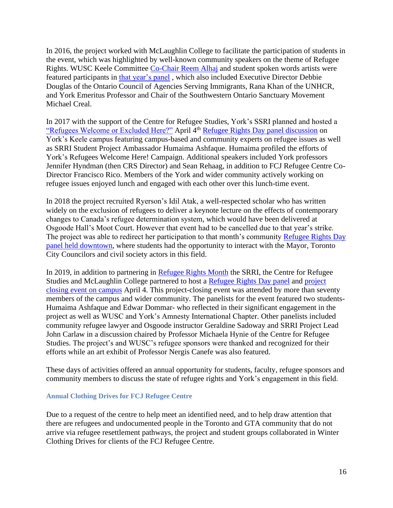In 2016, the project worked with McLaughlin College to facilitate the participation of students in the event, which was highlighted by well-known community speakers on the theme of Refugee Rights. WUSC Keele Committee [Co-Chair Reem Alhaj](http://yfile.news.yorku.ca/2016/02/08/from-camps-to-campuses-students-changing-students-lives-with-wusc) and student spoken words artists were featured participants in [that year's panel](http://crs.info.yorku.ca/archives/event/refugee-rights-day-in-canada-panel-discussion?instance_id=62) , which also included Executive Director Debbie Douglas of the Ontario Council of Agencies Serving Immigrants, Rana Khan of the UNHCR, and York Emeritus Professor and Chair of the Southwestern Ontario Sanctuary Movement Michael Creal.

In 2017 with the support of the Centre for Refugee Studies, York's SSRI planned and hosted a ["Refugees Welcome or Excluded Here?"](http://yfile.news.yorku.ca/2017/03/28/refugee-rights-day-panel-to-explore-refugee-policy-in-canada/) April 4<sup>th</sup> [Refugee Rights Day panel discussion](https://www.facebook.com/pg/yurefugees/photos/?tab=album&album_id=1171412289633790) on York's Keele campus featuring campus-based and community experts on refugee issues as well as SRRI Student Project Ambassador Humaima Ashfaque. Humaima profiled the efforts of York's Refugees Welcome Here! Campaign. Additional speakers included York professors Jennifer Hyndman (then CRS Director) and Sean Rehaag, in addition to FCJ Refugee Centre Co-Director Francisco Rico. Members of the York and wider community actively working on refugee issues enjoyed lunch and engaged with each other over this lunch-time event.

In 2018 the project recruited Ryerson's Idil Atak, a well-respected scholar who has written widely on the exclusion of refugees to deliver a keynote lecture on the effects of contemporary changes to Canada's refugee determination system, which would have been delivered at Osgoode Hall's Moot Court. However that event had to be cancelled due to that year's strike. The project was able to redirect her participation to that month's community [Refugee Rights Day](https://www.eventbrite.ca/e/finding-home-in-toronto-33-years-of-defending-refugee-rights-tickets-44395613475?aff=es2)  [panel held downtown,](https://www.eventbrite.ca/e/finding-home-in-toronto-33-years-of-defending-refugee-rights-tickets-44395613475?aff=es2) where students had the opportunity to interact with the Mayor, Toronto City Councilors and civil society actors in this field.

In 2019, in addition to partnering in [Refugee Rights Month](http://www.ocasi.org/refugee-rights-month-2019-toronto) the SRRI, the Centre for Refugee Studies and McLaughlin College partnered to host a [Refugee Rights Day panel](http://yfile.news.yorku.ca/2019/04/02/wrd/) and [project](https://www.facebook.com/yurefugees/photos/?tab=album&album_id=2010053559102988)  [closing event on campus](https://www.facebook.com/yurefugees/photos/?tab=album&album_id=2010053559102988) April 4. This project-closing event was attended by more than seventy members of the campus and wider community. The panelists for the event featured two students-Humaima Ashfaque and Edwar Dommar- who reflected in their significant engagement in the project as well as WUSC and York's Amnesty International Chapter. Other panelists included community refugee lawyer and Osgoode instructor Geraldine Sadoway and SRRI Project Lead John Carlaw in a discussion chaired by Professor Michaela Hynie of the Centre for Refugee Studies. The project's and WUSC's refugee sponsors were thanked and recognized for their efforts while an art exhibit of Professor Nergis Canefe was also featured.

These days of activities offered an annual opportunity for students, faculty, refugee sponsors and community members to discuss the state of refugee rights and York's engagement in this field.

#### <span id="page-16-0"></span>**Annual Clothing Drives for FCJ Refugee Centre**

Due to a request of the centre to help meet an identified need, and to help draw attention that there are refugees and undocumented people in the Toronto and GTA community that do not arrive via refugee resettlement pathways, the project and student groups collaborated in Winter Clothing Drives for clients of the FCJ Refugee Centre.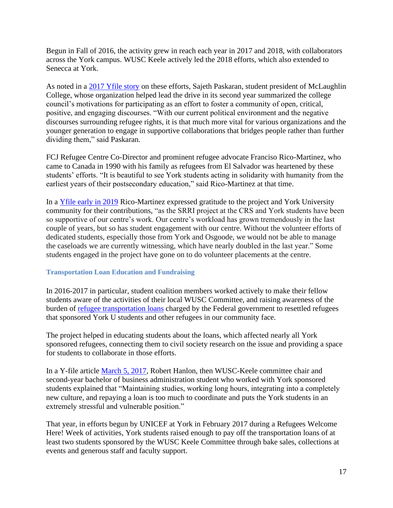Begun in Fall of 2016, the activity grew in reach each year in 2017 and 2018, with collaborators across the York campus. WUSC Keele actively led the 2018 efforts, which also extended to Senecca at York.

As noted in a [2017 Yfile story](http://yfile.news.yorku.ca/2017/11/22/york-us-human-rights-student-heroes-working-hard-to-ensure-refugees-feel-welcome/) on these efforts, Sajeth Paskaran, student president of McLaughlin College, whose organization helped lead the drive in its second year summarized the college council's motivations for participating as an effort to foster a community of open, critical, positive, and engaging discourses. "With our current political environment and the negative discourses surrounding refugee rights, it is that much more vital for various organizations and the younger generation to engage in supportive collaborations that bridges people rather than further dividing them," said Paskaran.

FCJ Refugee Centre Co-Director and prominent refugee advocate Franciso Rico-Martinez, who came to Canada in 1990 with his family as refugees from El Salvador was heartened by these students' efforts. "It is beautiful to see York students acting in solidarity with humanity from the earliest years of their postsecondary education," said Rico-Martinez at that time.

In a [Yfile early in 2019](http://yfile.news.yorku.ca/2019/01/23/sixth-annual-student-led-refugee-awareness-week-runs-jan-28-to-feb-1-at-the-keele-campus/) Rico-Martinez expressed gratitude to the project and York University community for their contributions, "as the SRRI project at the CRS and York students have been so supportive of our centre's work. Our centre's workload has grown tremendously in the last couple of years, but so has student engagement with our centre. Without the volunteer efforts of dedicated students, especially those from York and Osgoode, we would not be able to manage the caseloads we are currently witnessing, which have nearly doubled in the last year." Some students engaged in the project have gone on to do volunteer placements at the centre.

### <span id="page-17-0"></span>**Transportation Loan Education and Fundraising**

In 2016-2017 in particular, student coalition members worked actively to make their fellow students aware of the activities of their local WUSC Committee, and raising awareness of the burden of [refugee transportation loans](http://ccrweb.ca/en/transportation-loans) charged by the Federal government to resettled refugees that sponsored York U students and other refugees in our community face.

The project helped in educating students about the loans, which affected nearly all York sponsored refugees, connecting them to civil society research on the issue and providing a space for students to collaborate in those efforts.

In a Y-file article [March 5, 2017,](http://yfile.news.yorku.ca/2017/03/05/york-students-lead-the-way-during-refugees-welcome-here-week-at-the-keele-campus/) Robert Hanlon, then WUSC-Keele committee chair and second-year bachelor of business administration student who worked with York sponsored students explained that "Maintaining studies, working long hours, integrating into a completely new culture, and repaying a loan is too much to coordinate and puts the York students in an extremely stressful and vulnerable position."

That year, in efforts begun by UNICEF at York in February 2017 during a Refugees Welcome Here! Week of activities, York students raised enough to pay off the transportation loans of at least two students sponsored by the WUSC Keele Committee through bake sales, collections at events and generous staff and faculty support.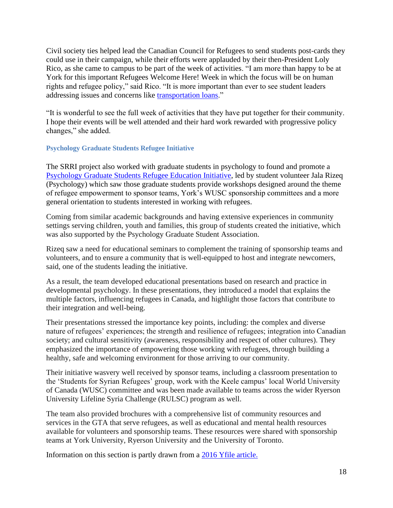Civil society ties helped lead the Canadian Council for Refugees to send students post-cards they could use in their campaign, while their efforts were applauded by their then-President Loly Rico, as she came to campus to be part of the week of activities. "I am more than happy to be at York for this important Refugees Welcome Here! Week in which the focus will be on human rights and refugee policy," said Rico. "It is more important than ever to see student leaders addressing issues and concerns like [transportation loans.](http://ccrweb.ca/en/refugee-transportation-loan-infographic)"

"It is wonderful to see the full week of activities that they have put together for their community. I hope their events will be well attended and their hard work rewarded with progressive policy changes," she added.

### <span id="page-18-0"></span>**Psychology Graduate Students Refugee Initiative**

The SRRI project also worked with graduate students in psychology to found and promote a [Psychology Graduate Students Refugee Education Initiative,](http://yfile.news.yorku.ca/2016/07/04/psychology-grad-students-collaborate-to-assist-refugees/) led by student volunteer Jala Rizeq (Psychology) which saw those graduate students provide workshops designed around the theme of refugee empowerment to sponsor teams, York's WUSC sponsorship committees and a more general orientation to students interested in working with refugees.

Coming from similar academic backgrounds and having extensive experiences in community settings serving children, youth and families, this group of students created the initiative, which was also supported by the Psychology Graduate Student Association.

Rizeq saw a need for educational seminars to complement the training of sponsorship teams and volunteers, and to ensure a community that is well-equipped to host and integrate newcomers, said, one of the students leading the initiative.

As a result, the team developed educational presentations based on research and practice in developmental psychology. In these presentations, they introduced a model that explains the multiple factors, influencing refugees in Canada, and highlight those factors that contribute to their integration and well-being.

Their presentations stressed the importance key points, including: the complex and diverse nature of refugees' experiences; the strength and resilience of refugees; integration into Canadian society; and cultural sensitivity (awareness, responsibility and respect of other cultures). They emphasized the importance of empowering those working with refugees, through building a healthy, safe and welcoming environment for those arriving to our community.

Their initiative wasvery well received by sponsor teams, including a classroom presentation to the 'Students for Syrian Refugees' group, work with the Keele campus' local World University of Canada (WUSC) committee and was been made available to teams across the wider Ryerson University Lifeline Syria Challenge (RULSC) program as well.

The team also provided brochures with a comprehensive list of community resources and services in the GTA that serve refugees, as well as educational and mental health resources available for volunteers and sponsorship teams. These resources were shared with sponsorship teams at York University, Ryerson University and the University of Toronto.

Information on this section is partly drawn from a [2016 Yfile article.](file:///D:/Post%20USB%20Loss/Recovering%20SRRI%20Work%20Oct%202019/2016%20Yfile%20article)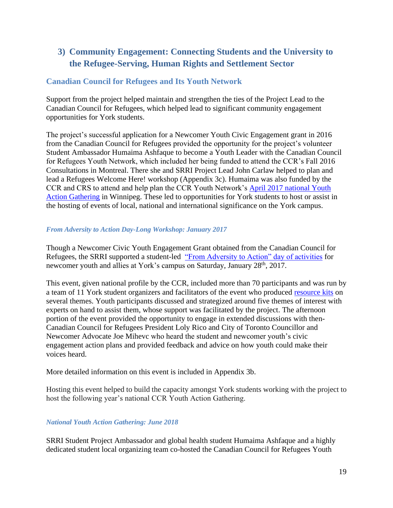# <span id="page-19-0"></span>**3) Community Engagement: Connecting Students and the University to the Refugee-Serving, Human Rights and Settlement Sector**

# <span id="page-19-1"></span>**Canadian Council for Refugees and Its Youth Network**

Support from the project helped maintain and strengthen the ties of the Project Lead to the Canadian Council for Refugees, which helped lead to significant community engagement opportunities for York students.

The project's successful application for a Newcomer Youth Civic Engagement grant in 2016 from the Canadian Council for Refugees provided the opportunity for the project's volunteer Student Ambassador Humaima Ashfaque to become a Youth Leader with the Canadian Council for Refugees Youth Network, which included her being funded to attend the CCR's Fall 2016 Consultations in Montreal. There she and SRRI Project Lead John Carlaw helped to plan and lead a Refugees Welcome Here! workshop (Appendix 3c). Humaima was also funded by the CCR and CRS to attend and help plan the CCR Youth Network's [April 2017 national Youth](http://ccrweb.ca/en/youth/youth-action-gathering-2017#zoom=8&lat=49.8891&lon=-97.15674&layers=BT)  [Action Gathering](http://ccrweb.ca/en/youth/youth-action-gathering-2017#zoom=8&lat=49.8891&lon=-97.15674&layers=BT) in Winnipeg. These led to opportunities for York students to host or assist in the hosting of events of local, national and international significance on the York campus.

## *From Adversity to Action Day-Long Workshop: January 2017*

Though a Newcomer Civic Youth Engagement Grant obtained from the Canadian Council for Refugees, the SRRI supported a student-led ["From Adversity to Action" day of activities](http://ccrweb.ca/en/youth/adversity-action) for newcomer youth and allies at York's campus on Saturday, January 28<sup>th</sup>, 2017.

This event, given national profile by the CCR, included more than 70 participants and was run by a team of 11 York student organizers and facilitators of the event who produced [resource kits](http://ccrweb.ca/sites/ccrweb.ca/files/york_u_adversity_to_action_resource_package_jan_28_2017.docx) on several themes. Youth participants discussed and strategized around five themes of interest with experts on hand to assist them, whose support was facilitated by the project. The afternoon portion of the event provided the opportunity to engage in extended discussions with then-Canadian Council for Refugees President Loly Rico and City of Toronto Councillor and Newcomer Advocate Joe Mihevc who heard the student and newcomer youth's civic engagement action plans and provided feedback and advice on how youth could make their voices heard.

More detailed information on this event is included in Appendix 3b.

Hosting this event helped to build the capacity amongst York students working with the project to host the following year's national CCR Youth Action Gathering.

# *National Youth Action Gathering: June 2018*

SRRI Student Project Ambassador and global health student Humaima Ashfaque and a highly dedicated student local organizing team co-hosted the Canadian Council for Refugees Youth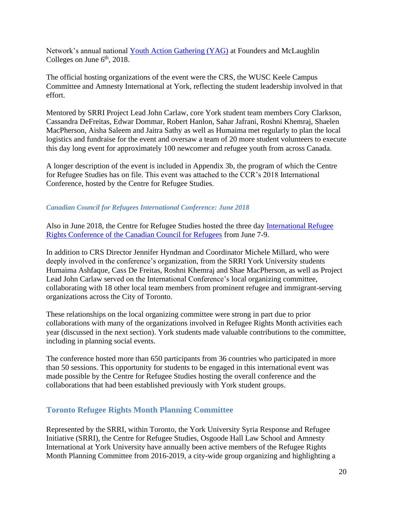Network's annual national [Youth Action Gathering \(YAG\)](http://yfile.news.yorku.ca/2018/07/18/two-prominent-conferences-on-refugee-rights-and-newcomer-youth-held-at-keele-campus/) at Founders and McLaughlin Colleges on June  $6<sup>th</sup>$ , 2018.

The official hosting organizations of the event were the CRS, the WUSC Keele Campus Committee and Amnesty International at York, reflecting the student leadership involved in that effort.

Mentored by SRRI Project Lead John Carlaw, core York student team members Cory Clarkson, Cassandra DeFreitas, Edwar Dommar, Robert Hanlon, Sahar Jafrani, Roshni Khemraj, Shaelen MacPherson, Aisha Saleem and Jaitra Sathy as well as Humaima met regularly to plan the local logistics and fundraise for the event and oversaw a team of 20 more student volunteers to execute this day long event for approximately 100 newcomer and refugee youth from across Canada.

A longer description of the event is included in Appendix 3b, the program of which the Centre for Refugee Studies has on file. This event was attached to the CCR's 2018 International Conference, hosted by the Centre for Refugee Studies.

## *Canadian Council for Refugees International Conference: June 2018*

Also in June 2018, the Centre for Refugee Studies hosted the three day [International Refugee](http://yfile.news.yorku.ca/2018/07/18/two-prominent-conferences-on-refugee-rights-and-newcomer-youth-held-at-keele-campus/)  [Rights Conference of the Canadian Council for Refugees](http://yfile.news.yorku.ca/2018/07/18/two-prominent-conferences-on-refugee-rights-and-newcomer-youth-held-at-keele-campus/) from June 7-9.

In addition to CRS Director Jennifer Hyndman and Coordinator Michele Millard, who were deeply involved in the conference's organization, from the SRRI York University students Humaima Ashfaque, Cass De Freitas, Roshni Khemraj and Shae MacPherson, as well as Project Lead John Carlaw served on the International Conference's local organizing committee, collaborating with 18 other local team members from prominent refugee and immigrant-serving organizations across the City of Toronto.

These relationships on the local organizing committee were strong in part due to prior collaborations with many of the organizations involved in Refugee Rights Month activities each year (discussed in the next section). York students made valuable contributions to the committee, including in planning social events.

The conference hosted more than 650 participants from 36 countries who participated in more than 50 sessions. This opportunity for students to be engaged in this international event was made possible by the Centre for Refugee Studies hosting the overall conference and the collaborations that had been established previously with York student groups.

# <span id="page-20-0"></span>**Toronto Refugee Rights Month Planning Committee**

Represented by the SRRI, within Toronto, the York University Syria Response and Refugee Initiative (SRRI), the Centre for Refugee Studies, Osgoode Hall Law School and Amnesty International at York University have annually been active members of the Refugee Rights Month Planning Committee from 2016-2019, a city-wide group organizing and highlighting a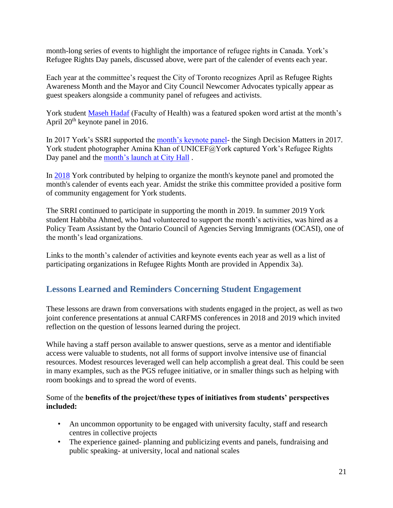month-long series of events to highlight the importance of refugee rights in Canada. York's Refugee Rights Day panels, discussed above, were part of the calender of events each year.

Each year at the committee's request the City of Toronto recognizes April as Refugee Rights Awareness Month and the Mayor and City Council Newcomer Advocates typically appear as guest speakers alongside a community panel of refugees and activists.

York student [Maseh Hadaf](https://www.facebook.com/yurefugees/videos/1207363989371953/) (Faculty of Health) was a featured spoken word artist at the month's April 20th keynote panel in 2016.

In 2017 York's SSRI supported the [month's keynote panel-](https://www.facebook.com/pg/yurefugees/photos/?tab=album&album_id=1202524326522586) the Singh Decision Matters in 2017. York student photographer Amina Khan of UNICEF@York captured York's Refugee Rights Day panel and the [month's launch at City Hall](https://www.facebook.com/pg/yurefugees/photos/?tab=album&album_id=1169629569812062) .

In [2018](http://ocasi.org/refugee-rights-month-2018-toronto) York contributed by helping to organize the month's keynote panel and promoted the month's calender of events each year. Amidst the strike this committee provided a positive form of community engagement for York students.

The SRRI continued to participate in supporting the month in 2019. In summer 2019 York student Habbiba Ahmed, who had volunteered to support the month's activities, was hired as a Policy Team Assistant by the Ontario Council of Agencies Serving Immigrants (OCASI), one of the month's lead organizations.

Links to the month's calender of activities and keynote events each year as well as a list of participating organizations in Refugee Rights Month are provided in Appendix 3a).

# <span id="page-21-0"></span>**Lessons Learned and Reminders Concerning Student Engagement**

These lessons are drawn from conversations with students engaged in the project, as well as two joint conference presentations at annual CARFMS conferences in 2018 and 2019 which invited reflection on the question of lessons learned during the project.

While having a staff person available to answer questions, serve as a mentor and identifiable access were valuable to students, not all forms of support involve intensive use of financial resources. Modest resources leveraged well can help accomplish a great deal. This could be seen in many examples, such as the PGS refugee initiative, or in smaller things such as helping with room bookings and to spread the word of events.

## Some of the **benefits of the project/these types of initiatives from students' perspectives included:**

- An uncommon opportunity to be engaged with university faculty, staff and research centres in collective projects
- The experience gained- planning and publicizing events and panels, fundraising and public speaking- at university, local and national scales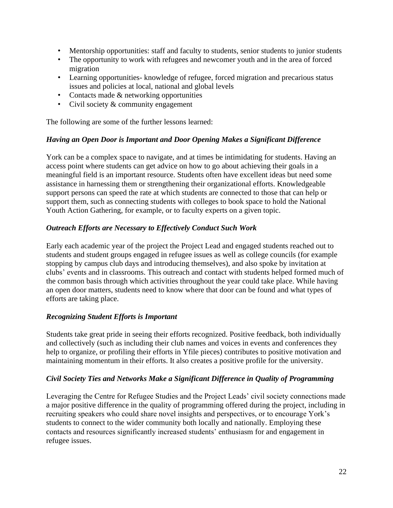- Mentorship opportunities: staff and faculty to students, senior students to junior students
- The opportunity to work with refugees and newcomer youth and in the area of forced migration
- Learning opportunities- knowledge of refugee, forced migration and precarious status issues and policies at local, national and global levels
- Contacts made & networking opportunities
- Civil society & community engagement

The following are some of the further lessons learned:

### *Having an Open Door is Important and Door Opening Makes a Significant Difference*

York can be a complex space to navigate, and at times be intimidating for students. Having an access point where students can get advice on how to go about achieving their goals in a meaningful field is an important resource. Students often have excellent ideas but need some assistance in harnessing them or strengthening their organizational efforts. Knowledgeable support persons can speed the rate at which students are connected to those that can help or support them, such as connecting students with colleges to book space to hold the National Youth Action Gathering, for example, or to faculty experts on a given topic.

### *Outreach Efforts are Necessary to Effectively Conduct Such Work*

Early each academic year of the project the Project Lead and engaged students reached out to students and student groups engaged in refugee issues as well as college councils (for example stopping by campus club days and introducing themselves), and also spoke by invitation at clubs' events and in classrooms. This outreach and contact with students helped formed much of the common basis through which activities throughout the year could take place. While having an open door matters, students need to know where that door can be found and what types of efforts are taking place.

### *Recognizing Student Efforts is Important*

Students take great pride in seeing their efforts recognized. Positive feedback, both individually and collectively (such as including their club names and voices in events and conferences they help to organize, or profiling their efforts in Yfile pieces) contributes to positive motivation and maintaining momentum in their efforts. It also creates a positive profile for the university.

#### *Civil Society Ties and Networks Make a Significant Difference in Quality of Programming*

Leveraging the Centre for Refugee Studies and the Project Leads' civil society connections made a major positive difference in the quality of programming offered during the project, including in recruiting speakers who could share novel insights and perspectives, or to encourage York's students to connect to the wider community both locally and nationally. Employing these contacts and resources significantly increased students' enthusiasm for and engagement in refugee issues.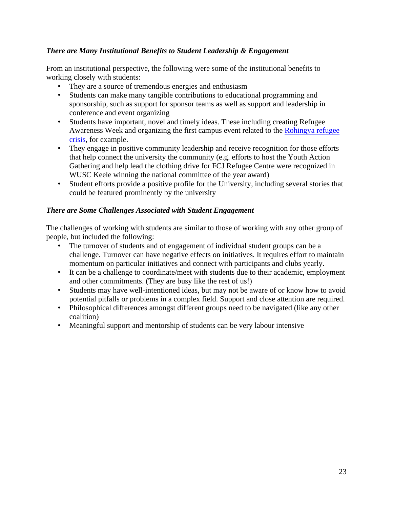## *There are Many Institutional Benefits to Student Leadership & Engagement*

From an institutional perspective, the following were some of the institutional benefits to working closely with students:

- They are a source of tremendous energies and enthusiasm
- Students can make many tangible contributions to educational programming and sponsorship, such as support for sponsor teams as well as support and leadership in conference and event organizing
- Students have important, novel and timely ideas. These including creating Refugee Awareness Week and organizing the first campus event related to the [Rohingya refugee](https://www.facebook.com/pg/yurefugees/photos/?tab=album&album_id=1372785812829769)  [crisis,](https://www.facebook.com/pg/yurefugees/photos/?tab=album&album_id=1372785812829769) for example.
- They engage in positive community leadership and receive recognition for those efforts that help connect the university the community (e.g. efforts to host the Youth Action Gathering and help lead the clothing drive for FCJ Refugee Centre were recognized in WUSC Keele winning the national committee of the year award)
- Student efforts provide a positive profile for the University, including several stories that could be featured prominently by the university

## *There are Some Challenges Associated with Student Engagement*

The challenges of working with students are similar to those of working with any other group of people, but included the following:

- The turnover of students and of engagement of individual student groups can be a challenge. Turnover can have negative effects on initiatives. It requires effort to maintain momentum on particular initiatives and connect with participants and clubs yearly.
- It can be a challenge to coordinate/meet with students due to their academic, employment and other commitments. (They are busy like the rest of us!)
- Students may have well-intentioned ideas, but may not be aware of or know how to avoid potential pitfalls or problems in a complex field. Support and close attention are required.
- Philosophical differences amongst different groups need to be navigated (like any other coalition)
- Meaningful support and mentorship of students can be very labour intensive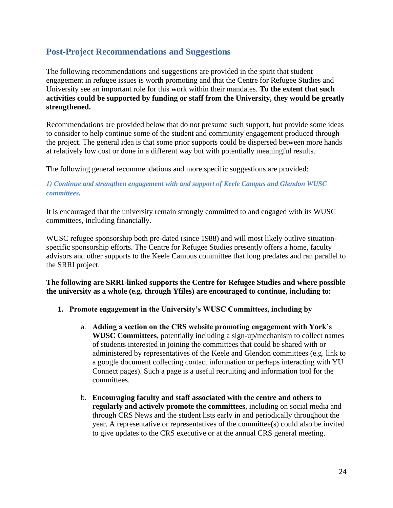# <span id="page-24-0"></span>**Post-Project Recommendations and Suggestions**

The following recommendations and suggestions are provided in the spirit that student engagement in refugee issues is worth promoting and that the Centre for Refugee Studies and University see an important role for this work within their mandates. **To the extent that such activities could be supported by funding or staff from the University, they would be greatly strengthened.**

Recommendations are provided below that do not presume such support, but provide some ideas to consider to help continue some of the student and community engagement produced through the project. The general idea is that some prior supports could be dispersed between more hands at relatively low cost or done in a different way but with potentially meaningful results.

The following general recommendations and more specific suggestions are provided:

### *1) Continue and strengthen engagement with and support of Keele Campus and Glendon WUSC committees.*

It is encouraged that the university remain strongly committed to and engaged with its WUSC committees, including financially.

WUSC refugee sponsorship both pre-dated (since 1988) and will most likely outlive situationspecific sponsorship efforts. The Centre for Refugee Studies presently offers a home, faculty advisors and other supports to the Keele Campus committee that long predates and ran parallel to the SRRI project.

**The following are SRRI-linked supports the Centre for Refugee Studies and where possible the university as a whole (e.g. through Yfiles) are encouraged to continue, including to:**

- **1. Promote engagement in the University's WUSC Committees, including by**
	- a. **Adding a section on the CRS website promoting engagement with York's WUSC Committees**, potentially including a sign-up/mechanism to collect names of students interested in joining the committees that could be shared with or administered by representatives of the Keele and Glendon committees (e.g. link to a google document collecting contact information or perhaps interacting with YU Connect pages). Such a page is a useful recruiting and information tool for the committees.
	- b. **Encouraging faculty and staff associated with the centre and others to regularly and actively promote the committees**, including on social media and through CRS News and the student lists early in and periodically throughout the year. A representative or representatives of the committee(s) could also be invited to give updates to the CRS executive or at the annual CRS general meeting.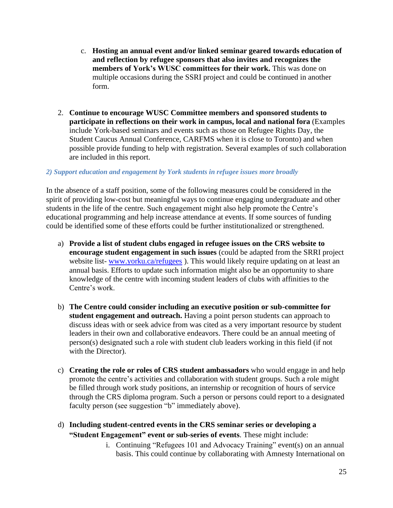- c. **Hosting an annual event and/or linked seminar geared towards education of and reflection by refugee sponsors that also invites and recognizes the members of York's WUSC committees for their work.** This was done on multiple occasions during the SSRI project and could be continued in another form.
- 2. **Continue to encourage WUSC Committee members and sponsored students to participate in reflections on their work in campus, local and national fora** (Examples include York-based seminars and events such as those on Refugee Rights Day, the Student Caucus Annual Conference, CARFMS when it is close to Toronto) and when possible provide funding to help with registration. Several examples of such collaboration are included in this report.

### *2) Support education and engagement by York students in refugee issues more broadly*

In the absence of a staff position, some of the following measures could be considered in the spirit of providing low-cost but meaningful ways to continue engaging undergraduate and other students in the life of the centre. Such engagement might also help promote the Centre's educational programming and help increase attendance at events. If some sources of funding could be identified some of these efforts could be further institutionalized or strengthened.

- a) **Provide a list of student clubs engaged in refugee issues on the CRS website to encourage student engagement in such issues** (could be adapted from the SRRI project website list- [www.yorku.ca/refugees](http://www.yorku.ca/refugees)). This would likely require updating on at least an annual basis. Efforts to update such information might also be an opportunity to share knowledge of the centre with incoming student leaders of clubs with affinities to the Centre's work.
- b) **The Centre could consider including an executive position or sub-committee for student engagement and outreach.** Having a point person students can approach to discuss ideas with or seek advice from was cited as a very important resource by student leaders in their own and collaborative endeavors. There could be an annual meeting of person(s) designated such a role with student club leaders working in this field (if not with the Director).
- c) **Creating the role or roles of CRS student ambassadors** who would engage in and help promote the centre's activities and collaboration with student groups. Such a role might be filled through work study positions, an internship or recognition of hours of service through the CRS diploma program. Such a person or persons could report to a designated faculty person (see suggestion "b" immediately above).
- d) **Including student-centred events in the CRS seminar series or developing a "Student Engagement" event or sub-series of events**. These might include:
	- i. Continuing "Refugees 101 and Advocacy Training" event(s) on an annual basis. This could continue by collaborating with Amnesty International on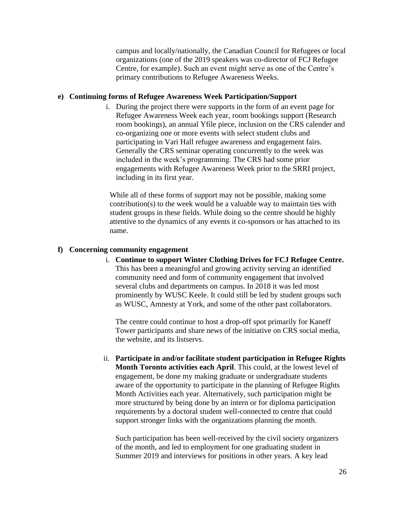campus and locally/nationally, the Canadian Council for Refugees or local organizations (one of the 2019 speakers was co-director of FCJ Refugee Centre, for example). Such an event might serve as one of the Centre's primary contributions to Refugee Awareness Weeks.

#### **e) Continuing forms of Refugee Awareness Week Participation/Support**

i. During the project there were supports in the form of an event page for Refugee Awareness Week each year, room bookings support (Research room bookings), an annual Yfile piece, inclusion on the CRS calender and co-organizing one or more events with select student clubs and participating in Vari Hall refugee awareness and engagement fairs. Generally the CRS seminar operating concurrently to the week was included in the week's programming. The CRS had some prior engagements with Refugee Awareness Week prior to the SRRI project, including in its first year.

While all of these forms of support may not be possible, making some contribution(s) to the week would be a valuable way to maintain ties with student groups in these fields. While doing so the centre should be highly attentive to the dynamics of any events it co-sponsors or has attached to its name.

#### **f) Concerning community engagement**

i. **Continue to support Winter Clothing Drives for FCJ Refugee Centre.**  This has been a meaningful and growing activity serving an identified community need and form of community engagement that involved several clubs and departments on campus. In 2018 it was led most prominently by WUSC Keele. It could still be led by student groups such as WUSC, Amnesty at York, and some of the other past collaborators.

The centre could continue to host a drop-off spot primarily for Kaneff Tower participants and share news of the initiative on CRS social media, the website, and its listservs.

ii. **Participate in and/or facilitate student participation in Refugee Rights Month Toronto activities each April**. This could, at the lowest level of engagement, be done my making graduate or undergraduate students aware of the opportunity to participate in the planning of Refugee Rights Month Activities each year. Alternatively, such participation might be more structured by being done by an intern or for diploma participation requirements by a doctoral student well-connected to centre that could support stronger links with the organizations planning the month.

Such participation has been well-received by the civil society organizers of the month, and led to employment for one graduating student in Summer 2019 and interviews for positions in other years. A key lead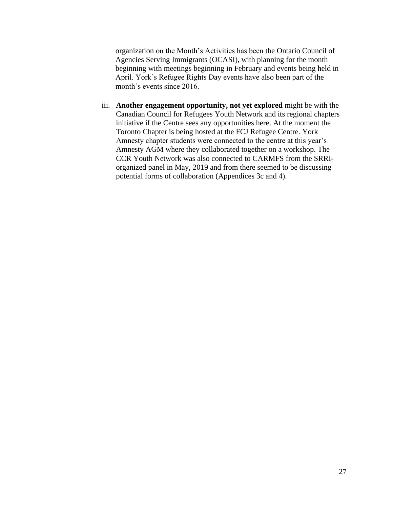organization on the Month's Activities has been the Ontario Council of Agencies Serving Immigrants (OCASI), with planning for the month beginning with meetings beginning in February and events being held in April. York's Refugee Rights Day events have also been part of the month's events since 2016.

iii. **Another engagement opportunity, not yet explored** might be with the Canadian Council for Refugees Youth Network and its regional chapters initiative if the Centre sees any opportunities here. At the moment the Toronto Chapter is being hosted at the FCJ Refugee Centre. York Amnesty chapter students were connected to the centre at this year's Amnesty AGM where they collaborated together on a workshop. The CCR Youth Network was also connected to CARMFS from the SRRIorganized panel in May, 2019 and from there seemed to be discussing potential forms of collaboration (Appendices 3c and 4).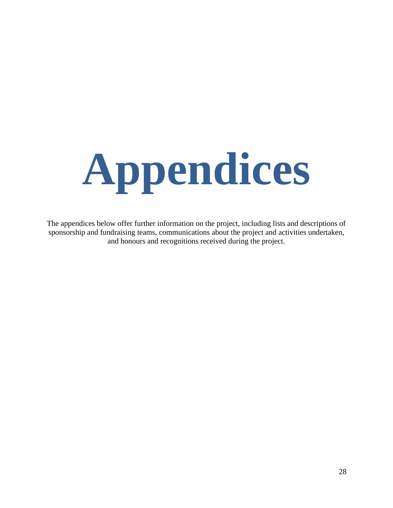<span id="page-28-0"></span>

The appendices below offer further information on the project, including lists and descriptions of sponsorship and fundraising teams, communications about the project and activities undertaken, and honours and recognitions received during the project.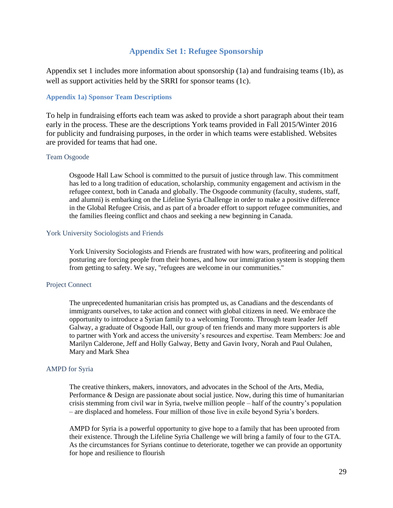## **Appendix Set 1: Refugee Sponsorship**

<span id="page-29-0"></span>Appendix set 1 includes more information about sponsorship (1a) and fundraising teams (1b), as well as support activities held by the SRRI for sponsor teams (1c).

#### <span id="page-29-1"></span>**Appendix 1a) Sponsor Team Descriptions**

To help in fundraising efforts each team was asked to provide a short paragraph about their team early in the process. These are the descriptions York teams provided in Fall 2015/Winter 2016 for publicity and fundraising purposes, in the order in which teams were established. Websites are provided for teams that had one.

#### Team Osgoode

Osgoode Hall Law School is committed to the pursuit of justice through law. This commitment has led to a long tradition of education, scholarship, community engagement and activism in the refugee context, both in Canada and globally. The Osgoode community (faculty, students, staff, and alumni) is embarking on the Lifeline Syria Challenge in order to make a positive difference in the Global Refugee Crisis, and as part of a broader effort to support refugee communities, and the families fleeing conflict and chaos and seeking a new beginning in Canada.

#### York University Sociologists and Friends

York University Sociologists and Friends are frustrated with how wars, profiteering and political posturing are forcing people from their homes, and how our immigration system is stopping them from getting to safety. We say, "refugees are welcome in our communities."

#### Project Connect

The unprecedented humanitarian crisis has prompted us, as Canadians and the descendants of immigrants ourselves, to take action and connect with global citizens in need. We embrace the opportunity to introduce a Syrian family to a welcoming Toronto. Through team leader Jeff Galway, a graduate of Osgoode Hall, our group of ten friends and many more supporters is able to partner with York and access the university's resources and expertise. Team Members: Joe and Marilyn Calderone, Jeff and Holly Galway, Betty and Gavin Ivory, Norah and Paul Oulahen, Mary and Mark Shea

#### AMPD for Syria

The creative thinkers, makers, innovators, and advocates in the School of the Arts, Media, Performance & Design are passionate about social justice. Now, during this time of humanitarian crisis stemming from civil war in Syria, twelve million people – half of the country's population – are displaced and homeless. Four million of those live in exile beyond Syria's borders.

AMPD for Syria is a powerful opportunity to give hope to a family that has been uprooted from their existence. Through the Lifeline Syria Challenge we will bring a family of four to the GTA. As the circumstances for Syrians continue to deteriorate, together we can provide an opportunity for hope and resilience to flourish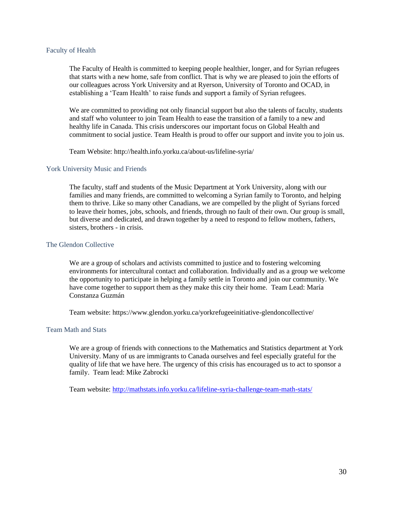#### Faculty of Health

The Faculty of Health is committed to keeping people healthier, longer, and for Syrian refugees that starts with a new home, safe from conflict. That is why we are pleased to join the efforts of our colleagues across York University and at Ryerson, University of Toronto and OCAD, in establishing a 'Team Health' to raise funds and support a family of Syrian refugees.

We are committed to providing not only financial support but also the talents of faculty, students and staff who volunteer to join Team Health to ease the transition of a family to a new and healthy life in Canada. This crisis underscores our important focus on Global Health and commitment to social justice. Team Health is proud to offer our support and invite you to join us.

Team Website: http://health.info.yorku.ca/about-us/lifeline-syria/

#### York University Music and Friends

The faculty, staff and students of the Music Department at York University, along with our families and many friends, are committed to welcoming a Syrian family to Toronto, and helping them to thrive. Like so many other Canadians, we are compelled by the plight of Syrians forced to leave their homes, jobs, schools, and friends, through no fault of their own. Our group is small, but diverse and dedicated, and drawn together by a need to respond to fellow mothers, fathers, sisters, brothers - in crisis.

#### The Glendon Collective

We are a group of scholars and activists committed to justice and to fostering welcoming environments for intercultural contact and collaboration. Individually and as a group we welcome the opportunity to participate in helping a family settle in Toronto and join our community. We have come together to support them as they make this city their home. Team Lead: María Constanza Guzmán

Team website: https://www.glendon.yorku.ca/yorkrefugeeinitiative-glendoncollective/

#### Team Math and Stats

We are a group of friends with connections to the Mathematics and Statistics department at York University. Many of us are immigrants to Canada ourselves and feel especially grateful for the quality of life that we have here. The urgency of this crisis has encouraged us to act to sponsor a family. Team lead: Mike Zabrocki

Team website:<http://mathstats.info.yorku.ca/lifeline-syria-challenge-team-math-stats/>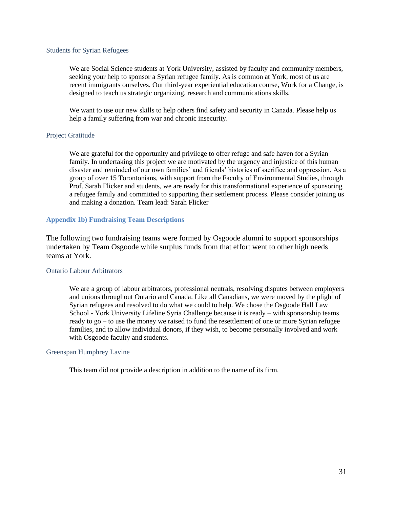#### Students for Syrian Refugees

We are Social Science students at York University, assisted by faculty and community members, seeking your help to sponsor a Syrian refugee family. As is common at York, most of us are recent immigrants ourselves. Our third-year experiential education course, Work for a Change, is designed to teach us strategic organizing, research and communications skills.

We want to use our new skills to help others find safety and security in Canada. Please help us help a family suffering from war and chronic insecurity.

#### Project Gratitude

We are grateful for the opportunity and privilege to offer refuge and safe haven for a Syrian family. In undertaking this project we are motivated by the urgency and injustice of this human disaster and reminded of our own families' and friends' histories of sacrifice and oppression. As a group of over 15 Torontonians, with support from the Faculty of Environmental Studies, through Prof. Sarah Flicker and students, we are ready for this transformational experience of sponsoring a refugee family and committed to supporting their settlement process. Please consider joining us and making a donation. Team lead: Sarah Flicker

#### <span id="page-31-0"></span>**Appendix 1b) Fundraising Team Descriptions**

The following two fundraising teams were formed by Osgoode alumni to support sponsorships undertaken by Team Osgoode while surplus funds from that effort went to other high needs teams at York.

#### Ontario Labour Arbitrators

We are a group of labour arbitrators, professional neutrals, resolving disputes between employers and unions throughout Ontario and Canada. Like all Canadians, we were moved by the plight of Syrian refugees and resolved to do what we could to help. We chose the Osgoode Hall Law School - York University Lifeline Syria Challenge because it is ready – with sponsorship teams ready to go – to use the money we raised to fund the resettlement of one or more Syrian refugee families, and to allow individual donors, if they wish, to become personally involved and work with Osgoode faculty and students.

#### Greenspan Humphrey Lavine

This team did not provide a description in addition to the name of its firm.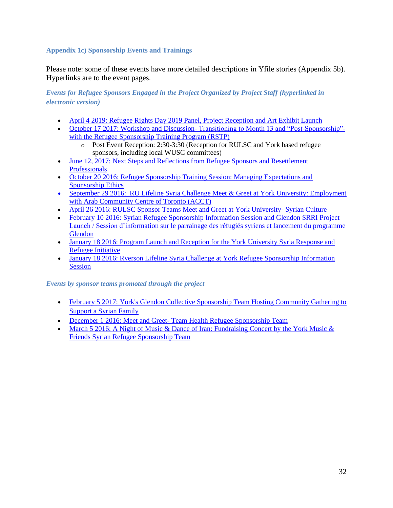## <span id="page-32-0"></span>**Appendix 1c) Sponsorship Events and Trainings**

Please note: some of these events have more detailed descriptions in Yfile stories (Appendix 5b). Hyperlinks are to the event pages.

*Events for Refugee Sponsors Engaged in the Project Organized by Project Staff (hyperlinked in electronic version)*

- [April 4 2019: Refugee Rights Day 2019 Panel, Project Reception and Art Exhibit Launch](http://crs.info.yorku.ca/archives/event/refugee-rights-day-2019?instance_id=156)
- October 17 2017: Workshop and Discussion-[Transitioning to Month 13 and "Post-Sponsorship"](https://goo.gl/forms/aSnk3r7wNLV2OKfo2) [with the Refugee Sponsorship Training Program \(RSTP\)](https://goo.gl/forms/aSnk3r7wNLV2OKfo2)
	- o Post Event Reception: 2:30-3:30 (Reception for RULSC and York based refugee sponsors, including local WUSC committees)
- June 12, 2017: Next Steps and Reflections from Refugee Sponsors and Resettlement **[Professionals](http://crs.info.yorku.ca/next-steps-and-reflections-from-refugee-sponsors-and-resettlement-professionals)**
- October 20 2016: Refugee Sponsorship Training Session: Managing Expectations and [Sponsorship Ethics](http://crs.info.yorku.ca/archives/event/rstp_sponsorship?instance_id=70)
- September 29 2016: RU Lifeline Syria Challenge Meet & Greet at York University: Employment [with Arab Community Centre of Toronto \(ACCT\)](https://forms.gle/UsMmeTSA8NeCXrgd7)
- [April 26 2016: RULSC Sponsor Teams Meet and Greet at York University-](https://www.facebook.com/yurefugees/photos/?tab=album&album_id=893935490714806) Syrian Culture
- February 10 2016: Syrian Refugee Sponsorship Information Session and Glendon SRRI Project [Launch / Session d'information sur le parrainage des réfugiés syriens et lancement du programme](http://crs.info.yorku.ca/archives/event/syrian-refugee-sponsorship-information-session-and-glendon-project-launch?instance_id=53)  [Glendon](http://crs.info.yorku.ca/archives/event/syrian-refugee-sponsorship-information-session-and-glendon-project-launch?instance_id=53)
- January 18 2016: Program Launch and Reception for the York University Syria Response and [Refugee Initiative](http://crs.info.yorku.ca/archives/event/program-launch-and-reception-for-the-york-university-syria-response-and-refugee-initiative?instance_id=49)
- January 18 2016: Ryerson Lifeline Syria Challenge at York Refugee Sponsorship Information [Session](http://crs.info.yorku.ca/archives/event/syria-response-and-refugee-initiative-info-session-program-launch-and-reception?instance_id=48)

*Events by sponsor teams promoted through the project*

- February 5 2017: York's Glendon Collective Sponsorship Team Hosting Community Gathering to [Support a Syrian Family](https://www.eventbrite.com/e/fundraiser-and-community-gathering-to-support-a-syrian-family-tickets-31357137041?ref=estw)
- December 1 2016: Meet and Greet- [Team Health Refugee Sponsorship Team](https://www.facebook.com/events/370896246580501/)
- March 5 2016: A Night of Music & Dance of Iran: Fundraising Concert by the York Music & [Friends Syrian Refugee Sponsorship Team](https://www.eventbrite.com/e/a-night-of-music-dance-of-iran-tickets-21748880487?fbclid=IwAR3KuDGuOKpv5CfyPwkJf6pz3RpPjUmdlpzyQXUDSGz8ZhQ4AXB8ghdfGRk)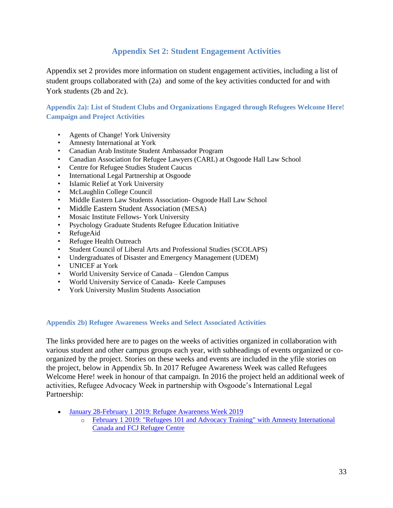# **Appendix Set 2: Student Engagement Activities**

<span id="page-33-0"></span>Appendix set 2 provides more information on student engagement activities, including a list of student groups collaborated with (2a) and some of the key activities conducted for and with York students (2b and 2c).

<span id="page-33-1"></span>**Appendix 2a): List of Student Clubs and Organizations Engaged through Refugees Welcome Here! Campaign and Project Activities**

- Agents of Change! York University
- Amnesty International at York
- Canadian Arab Institute Student Ambassador Program
- Canadian Association for Refugee Lawyers (CARL) at Osgoode Hall Law School
- Centre for Refugee Studies Student Caucus
- International Legal Partnership at Osgoode
- Islamic Relief at York University
- McLaughlin College Council
- Middle Eastern Law Students Association- Osgoode Hall Law School
- Middle Eastern Student Association (MESA)
- Mosaic Institute Fellows- York University
- Psychology Graduate Students Refugee Education Initiative
- RefugeAid
- Refugee Health Outreach
- Student Council of Liberal Arts and Professional Studies (SCOLAPS)
- Undergraduates of Disaster and Emergency Management (UDEM)
- UNICEF at York
- World University Service of Canada Glendon Campus
- World University Service of Canada- Keele Campuses
- York University Muslim Students Association

#### <span id="page-33-2"></span>**Appendix 2b) Refugee Awareness Weeks and Select Associated Activities**

The links provided here are to pages on the weeks of activities organized in collaboration with various student and other campus groups each year, with subheadings of events organized or coorganized by the project. Stories on these weeks and events are included in the yfile stories on the project, below in Appendix 5b. In 2017 Refugee Awareness Week was called Refugees Welcome Here! week in honour of that campaign. In 2016 the project held an additional week of activities, Refugee Advocacy Week in partnership with Osgoode's International Legal Partnership:

- [January 28-February 1 2019: Refugee Awareness Week 2019](https://crs.info.yorku.ca/archives/event/refugee-awareness-week-2019)
	- o [February 1 2019: "Refugees 101 and Advocacy Training" with Amnesty International](http://crs.info.yorku.ca/archives/event/refugees-101-and-advocacy-training?instance_id=155)  [Canada and FCJ Refugee Centre](http://crs.info.yorku.ca/archives/event/refugees-101-and-advocacy-training?instance_id=155)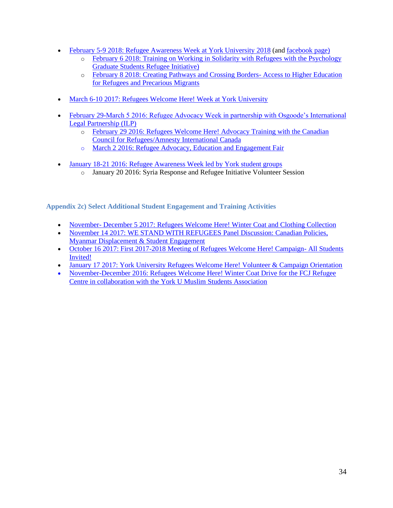- [February 5-9 2018: Refugee Awareness Week at York University](http://crs.info.yorku.ca/archives/event/refugee-awareness-week-2018?instance_id=129) 2018 (and [facebook page\)](https://www.facebook.com/events/1778809858860333/)
	- o [February 6 2018: Training on Working in Solidarity with Refugees](http://crs.info.yorku.ca/archives/event/training-on-working-in-solidarity-with-refugees-by-york-u-psychology-graduate-students-refugee-initiative-syria-response-and-refugee-initiative-wusc-keele?instance_id=128) with the Psychology [Graduate Students Refugee Initiative\)](http://crs.info.yorku.ca/archives/event/training-on-working-in-solidarity-with-refugees-by-york-u-psychology-graduate-students-refugee-initiative-syria-response-and-refugee-initiative-wusc-keele?instance_id=128)
	- o [February 8 2018: Creating Pathways and Crossing Borders-](http://crs.info.yorku.ca/archives/event/creating-pathways-and-crossing-borders-access-to-higher-education-for-refugees-and-precarious-migrants?instance_id=126) Access to Higher Education [for Refugees and Precarious Migrants](http://crs.info.yorku.ca/archives/event/creating-pathways-and-crossing-borders-access-to-higher-education-for-refugees-and-precarious-migrants?instance_id=126)
- [March 6-10 2017: Refugees Welcome Here! Week at York University](http://yfile.news.yorku.ca/2017/03/05/york-students-lead-the-way-during-refugees-welcome-here-week-at-the-keele-campus/)
- [February 29-March 5 2016: Refugee Advocacy Week in partnership with Osgoode's International](https://www.facebook.com/events/936251926461193/)  [Legal Partnership \(ILP\)](https://www.facebook.com/events/936251926461193/)
	- o [February 29 2016: Refugees Welcome Here! Advocacy Training with the Canadian](http://crs.info.yorku.ca/archives/event/refugees-welcome-here-advocacy-training?instance_id=57)  [Council for Refugees/Amnesty International Canada](http://crs.info.yorku.ca/archives/event/refugees-welcome-here-advocacy-training?instance_id=57)
	- o [March 2 2016: Refugee Advocacy, Education and Engagement Fair](https://www.facebook.com/events/936251926461193/)
- [January 18-21 2016: Refugee Awareness Week led by York student groups](https://www.facebook.com/pg/yurefugees/photos/?tab=album&album_id=850006011774421)
	- o January 20 2016: Syria Response and Refugee Initiative Volunteer Session

<span id="page-34-0"></span>**Appendix 2c) Select Additional Student Engagement and Training Activities**

- November- [December 5 2017: Refugees Welcome Here! Winter Coat and Clothing Collection](http://crs.info.yorku.ca/archives/event/refugees-welcome-here-winter-coat-and-clothing-collection?instance_id=114)
- [November 14 2017: WE STAND WITH REFUGEES Panel Discussion: Canadian Policies,](http://crs.info.yorku.ca/archives/event/we-stand-with-refugees-canadian-policies-myanmar-displacement-student-engagement?instance_id=115)  Myanmar [Displacement & Student Engagement](http://crs.info.yorku.ca/archives/event/we-stand-with-refugees-canadian-policies-myanmar-displacement-student-engagement?instance_id=115)
- [October 16 2017: First 2017-2018 Meeting of Refugees Welcome Here! Campaign-](http://crs.info.yorku.ca/archives/event/2017-2018-refugees-welcome-here-campaign-first-meeting?instance_id=111) All Students [Invited!](http://crs.info.yorku.ca/archives/event/2017-2018-refugees-welcome-here-campaign-first-meeting?instance_id=111)
- [January 17 2017: York University Refugees Welcome Here! Volunteer & Campaign Orientation](http://crs.info.yorku.ca/archives/event/refugees-welcome-here?instance_id=90)
- November-December 2016: Refugees Welcome Here! Winter Coat Drive for the FCJ Refugee [Centre in collaboration with the York U Muslim Students Association](https://twitter.com/YURefugees/status/810847207826063360)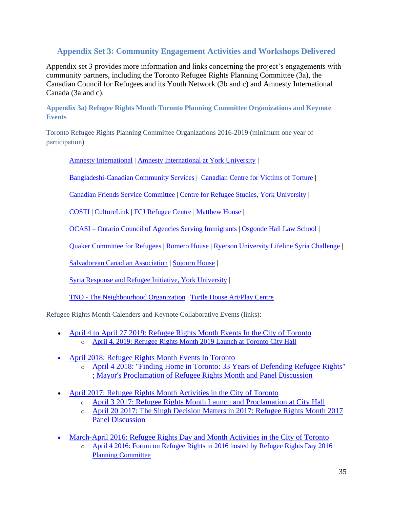# <span id="page-35-0"></span>**Appendix Set 3: Community Engagement Activities and Workshops Delivered**

Appendix set 3 provides more information and links concerning the project's engagements with community partners, including the Toronto Refugee Rights Planning Committee (3a), the Canadian Council for Refugees and its Youth Network (3b and c) and Amnesty International Canada (3a and c).

<span id="page-35-1"></span>**Appendix 3a) Refugee Rights Month Toronto Planning Committee Organizations and Keynote Events**

Toronto Refugee Rights Planning Committee Organizations 2016-2019 (minimum one year of participation)

[Amnesty International](http://www.aito.ca/) | [Amnesty International at York University](https://www.facebook.com/amnestyatyork/) |

[Bangladeshi-Canadian Community Services](http://bangladeshi.ca/) | [Canadian Centre for Victims of Torture](http://www.ccvt.org/) |

[Canadian Friends Service Committee](https://quakerservice.ca/our-work/peace/refugees/) | [Centre for Refugee Studies, York University](http://crs.info.yorku.ca/) |

[COSTI](http://www.costi.org/) | [CultureLink](http://www.culturelink.ca/) | [FCJ Refugee Centre](http://www.fcjrefugeecentre.org/) | [Matthew House |](http://mnlct.org/)

OCASI – [Ontario Council of Agencies Serving Immigrants](http://www.ocasi.org/) | [Osgoode Hall Law School](http://www.osgoode.yorku.ca/) |

[Quaker Committee for Refugees](http://quakerservice.ca/our-work/peace/refugees/) | [Romero House](https://romerohouse.org/) | [Ryerson University Lifeline Syria Challenge](https://www.ryerson.ca/lifelinesyria/) |

[Salvadorean Canadian Association](http://www.asalca.ca/) | [Sojourn House](http://www.sojournhouse.org/) |

[Syria Response and Refugee Initiative, York University](http://www.yorku.ca/refugees) |

TNO - [The Neighbourhood Organization](https://tno-toronto.org/) | [Turtle House Art/Play Centre](https://www.turtlehouseartplaycentre.org/)

Refugee Rights Month Calenders and Keynote Collaborative Events (links):

- [April 4 to April 27 2019: Refugee Rights Month Events In the City of Toronto](http://www.ocasi.org/refugee-rights-month-2019-toronto) o [April 4, 2019: Refugee Rights Month 2019 Launch at Toronto City Hall](http://www.ocasi.org/refugee-rights-month-2019-toronto)
- April 2018: Refugee Rights Month Events In Toronto
	- o April 4 [2018: "Finding Home in Toronto: 33 Years of Defending Refugee Rights"](https://www.eventbrite.ca/e/finding-home-in-toronto-33-years-of-defending-refugee-rights-tickets-44395613475?aff=es2)  [; Mayor's Proclamation of Refugee Rights Month and Panel Discussion](https://www.eventbrite.ca/e/finding-home-in-toronto-33-years-of-defending-refugee-rights-tickets-44395613475?aff=es2)
- [April 2017: Refugee Rights Month Activities in the City of Toronto](http://www.ocasi.org/refugee-rights-month-2017-toronto)
	- o April 3 [2017: Refugee Rights Month Launch and Proclamation at](https://www.facebook.com/yurefugees/photos/?tab=album&album_id=1169629569812062) City Hall
	- o [April 20 2017: The Singh Decision Matters in 2017: Refugee Rights Month 2017](https://www.facebook.com/events/168100633711955/)  [Panel Discussion](https://www.facebook.com/events/168100633711955/)
- [March-April 2016: Refugee Rights Day and Month Activities](http://ocasi.org/refugee-rights-month-toronto) in the City of Toronto
	- o [April 4 2016: Forum on Refugee Rights in 2016 hosted by Refugee Rights Day 2016](http://ocasi.org/refugee-rights-month-toronto)  [Planning Committee](http://ocasi.org/refugee-rights-month-toronto)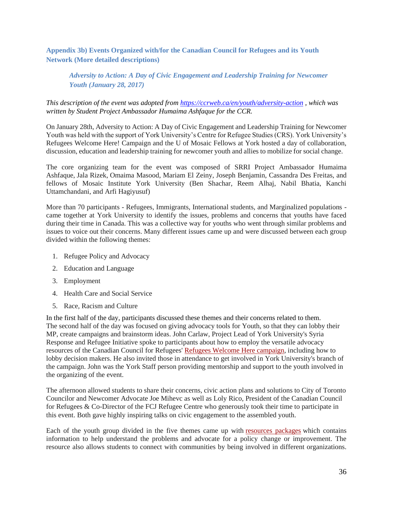<span id="page-36-0"></span>**Appendix 3b) Events Organized with/for the Canadian Council for Refugees and its Youth Network (More detailed descriptions)**

## *Adversity to Action: A Day of Civic Engagement and Leadership Training for Newcomer Youth (January 28, 2017)*

#### *This description of the event was adopted from<https://ccrweb.ca/en/youth/adversity-action> , which was written by Student Project Ambassador Humaima Ashfaque for the CCR.*

On January 28th, Adversity to Action: A Day of Civic Engagement and Leadership Training for Newcomer Youth was held with the support of York University's Centre for Refugee Studies (CRS). York University's Refugees Welcome Here! Campaign and the U of Mosaic Fellows at York hosted a day of collaboration, discussion, education and leadership training for newcomer youth and allies to mobilize for social change.

The core organizing team for the event was composed of SRRI Project Ambassador Humaima Ashfaque, Jala Rizek, Omaima Masood, Mariam El Zeiny, Joseph Benjamin, Cassandra Des Freitas, and fellows of Mosaic Institute York University (Ben Shachar, Reem Alhaj, Nabil Bhatia, Kanchi Uttamchandani, and Arfi Hagiyusuf)

More than 70 participants - Refugees, Immigrants, International students, and Marginalized populations came together at York University to identify the issues, problems and concerns that youths have faced during their time in Canada. This was a collective way for youths who went through similar problems and issues to voice out their concerns. Many different issues came up and were discussed between each group divided within the following themes:

- 1. Refugee Policy and Advocacy
- 2. Education and Language
- 3. Employment
- 4. Health Care and Social Service
- 5. Race, Racism and Culture

In the first half of the day, participants discussed these themes and their concerns related to them. The second half of the day was focused on giving advocacy tools for Youth, so that they can lobby their MP, create campaigns and brainstorm ideas. John Carlaw, Project Lead of York University's Syria Response and Refugee Initiative spoke to participants about how to employ the versatile advocacy resources of the Canadian Council for Refugees' [Refugees Welcome Here campaign,](http://ccrweb.ca/en/refugees-welcome-here) including how to lobby decision makers. He also invited those in attendance to get involved in York University's branch of the campaign. John was the York Staff person providing mentorship and support to the youth involved in the organizing of the event.

The afternoon allowed students to share their concerns, civic action plans and solutions to City of Toronto Councilor and Newcomer Advocate Joe Mihevc as well as Loly Rico, President of the Canadian Council for Refugees & Co-Director of the FCJ Refugee Centre who generously took their time to participate in this event. Both gave highly inspiring talks on civic engagement to the assembled youth.

Each of the youth group divided in the five themes came up with [resources packages](http://ccrweb.ca/sites/ccrweb.ca/files/york_u_adversity_to_action_resource_package_jan_28_2017.docx) which contains information to help understand the problems and advocate for a policy change or improvement. The resource also allows students to connect with communities by being involved in different organizations.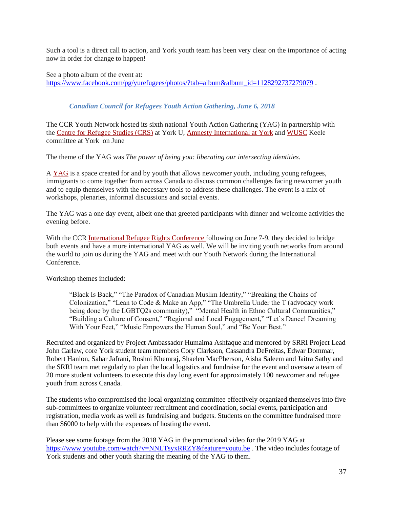Such a tool is a direct call to action, and York youth team has been very clear on the importance of acting now in order for change to happen!

See a photo album of the event at: [https://www.facebook.com/pg/yurefugees/photos/?tab=album&album\\_id=1128292737279079](https://www.facebook.com/pg/yurefugees/photos/?tab=album&album_id=1128292737279079) .

### *Canadian Council for Refugees Youth Action Gathering, June 6, 2018*

The CCR Youth Network hosted its sixth national Youth Action Gathering (YAG) in partnership with the [Centre for Refugee Studies \(CRS\)](http://crs.info.yorku.ca/) at York U, [Amnesty International at](https://amnestyinternationalatyork.wordpress.com/) York and [WUSC](https://wusc.ca/) Keele committee at York on June

The theme of the YAG was *The power of being you: liberating our intersecting identities.*

A [YAG](http://ccrweb.ca/en/youth/meetings) is a space created for and by youth that allows newcomer youth, including young refugees, immigrants to come together from across Canada to discuss common challenges facing newcomer youth and to equip themselves with the necessary tools to address these challenges. The event is a mix of workshops, plenaries, informal discussions and social events.

The YAG was a one day event, albeit one that greeted participants with dinner and welcome activities the evening before.

With the CCR [International Refugee Rights Conference](http://ccrweb.ca/en/international-refugee-rights-conference-2018) following on June 7-9, they decided to bridge both events and have a more international YAG as well. We will be inviting youth networks from around the world to join us during the YAG and meet with our Youth Network during the International Conference.

Workshop themes included:

"Black Is Back," "The Paradox of Canadian Muslim Identity," "Breaking the Chains of Colonization," "Lean to Code & Make an App," "The Umbrella Under the T (advocacy work being done by the LGBTQ2s community)," "Mental Health in Ethno Cultural Communities," "Building a Culture of Consent," "Regional and Local Engagement," "Let`s Dance! Dreaming With Your Feet," "Music Empowers the Human Soul," and "Be Your Best."

Recruited and organized by Project Ambassador Humaima Ashfaque and mentored by SRRI Project Lead John Carlaw, core York student team members Cory Clarkson, Cassandra DeFreitas, Edwar Dommar, Robert Hanlon, Sahar Jafrani, Roshni Khemraj, Shaelen MacPherson, Aisha Saleem and Jaitra Sathy and the SRRI team met regularly to plan the local logistics and fundraise for the event and oversaw a team of 20 more student volunteers to execute this day long event for approximately 100 newcomer and refugee youth from across Canada.

The students who compromised the local organizing committee effectively organized themselves into five sub-committees to organize volunteer recruitment and coordination, social events, participation and registration, media work as well as fundraising and budgets. Students on the committee fundraised more than \$6000 to help with the expenses of hosting the event.

Please see some footage from the 2018 YAG in the promotional video for the 2019 YAG at <https://www.youtube.com/watch?v=NNLTsyxRRZY&feature=youtu.be>. The video includes footage of York students and other youth sharing the meaning of the YAG to them.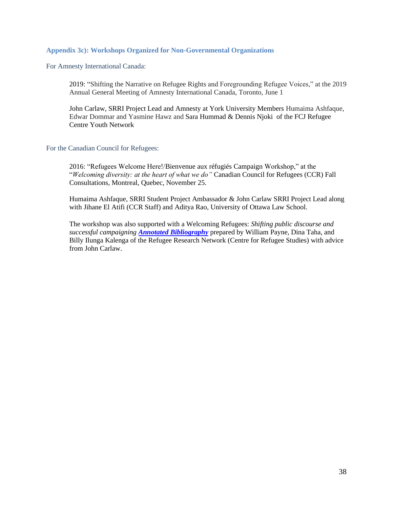#### <span id="page-38-0"></span>**Appendix 3c): Workshops Organized for Non-Governmental Organizations**

For Amnesty International Canada:

2019: "Shifting the Narrative on Refugee Rights and Foregrounding Refugee Voices," at the 2019 Annual General Meeting of Amnesty International Canada, Toronto, June 1

John Carlaw, SRRI Project Lead and Amnesty at York University Members Humaima Ashfaque, Edwar Dommar and Yasmine Hawz and Sara Hummad & Dennis Njoki of the FCJ Refugee Centre Youth Network

#### For the Canadian Council for Refugees:

2016: "Refugees Welcome Here!/Bienvenue aux réfugiés Campaign Workshop," at the "*Welcoming diversity: at the heart of what we do"* Canadian Council for Refugees (CCR) Fall Consultations, Montreal, Quebec, November 25.

Humaima Ashfaque, SRRI Student Project Ambassador & John Carlaw SRRI Project Lead along with Jihane El Atifi (CCR Staff) and Aditya Rao, University of Ottawa Law School.

The workshop was also supported with a Welcoming Refugees: *Shifting public discourse and successful campaigning [Annotated Bibliography](https://refugeeresearch.net/rrn_node/welcoming-refugees/)* prepared by William Payne, Dina Taha, and Billy Ilunga Kalenga of the Refugee Research Network (Centre for Refugee Studies) with advice from John Carlaw.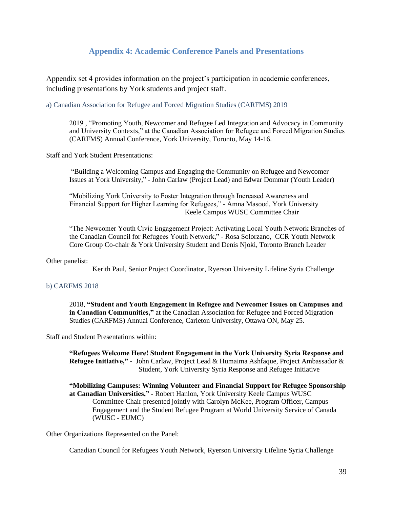## **Appendix 4: Academic Conference Panels and Presentations**

<span id="page-39-0"></span>Appendix set 4 provides information on the project's participation in academic conferences, including presentations by York students and project staff.

a) Canadian Association for Refugee and Forced Migration Studies (CARFMS) 2019

2019 , "Promoting Youth, Newcomer and Refugee Led Integration and Advocacy in Community and University Contexts," at the Canadian Association for Refugee and Forced Migration Studies (CARFMS) Annual Conference, York University, Toronto, May 14-16.

Staff and York Student Presentations:

"Building a Welcoming Campus and Engaging the Community on Refugee and Newcomer Issues at York University," - John Carlaw (Project Lead) and Edwar Dommar (Youth Leader)

"Mobilizing York University to Foster Integration through Increased Awareness and Financial Support for Higher Learning for Refugees," - Amna Masood, York University Keele Campus WUSC Committee Chair

"The Newcomer Youth Civic Engagement Project: Activating Local Youth Network Branches of the Canadian Council for Refugees Youth Network," - Rosa Solorzano, CCR Youth Network Core Group Co-chair & York University Student and Denis Njoki, Toronto Branch Leader

#### Other panelist:

Kerith Paul, Senior Project Coordinator, Ryerson University Lifeline Syria Challenge

#### b) CARFMS 2018

2018, **"Student and Youth Engagement in Refugee and Newcomer Issues on Campuses and in Canadian Communities,"** at the Canadian Association for Refugee and Forced Migration Studies (CARFMS) Annual Conference, Carleton University, Ottawa ON, May 25.

Staff and Student Presentations within:

**"Refugees Welcome Here! Student Engagement in the York University Syria Response and Refugee Initiative," -** John Carlaw, Project Lead & Humaima Ashfaque, Project Ambassador & Student, York University Syria Response and Refugee Initiative

**"Mobilizing Campuses: Winning Volunteer and Financial Support for Refugee Sponsorship at Canadian Universities," -** Robert Hanlon, York University Keele Campus WUSC Committee Chair presented jointly with Carolyn McKee, Program Officer, Campus Engagement and the Student Refugee Program at World University Service of Canada (WUSC - EUMC)

Other Organizations Represented on the Panel:

Canadian Council for Refugees Youth Network, Ryerson University Lifeline Syria Challenge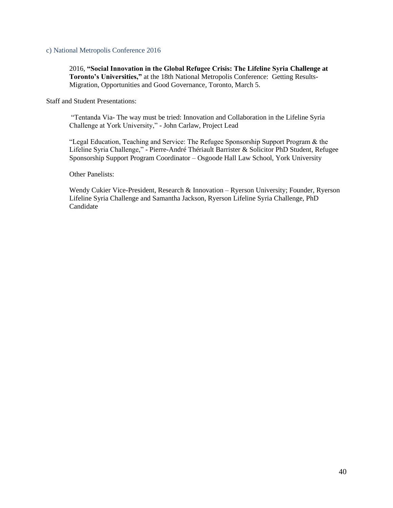c) National Metropolis Conference 2016

2016, **"Social Innovation in the Global Refugee Crisis: The Lifeline Syria Challenge at Toronto's Universities,"** at the 18th National Metropolis Conference: Getting Results-Migration, Opportunities and Good Governance, Toronto, March 5.

Staff and Student Presentations:

"Tentanda Via- The way must be tried: Innovation and Collaboration in the Lifeline Syria Challenge at York University," - John Carlaw, Project Lead

"Legal Education, Teaching and Service: The Refugee Sponsorship Support Program & the Lifeline Syria Challenge," - Pierre-André Thériault Barrister & Solicitor PhD Student, Refugee Sponsorship Support Program Coordinator – Osgoode Hall Law School, York University

Other Panelists:

Wendy Cukier Vice-President, Research & Innovation – Ryerson University; Founder, Ryerson Lifeline Syria Challenge and Samantha Jackson, Ryerson Lifeline Syria Challenge, PhD **Candidate**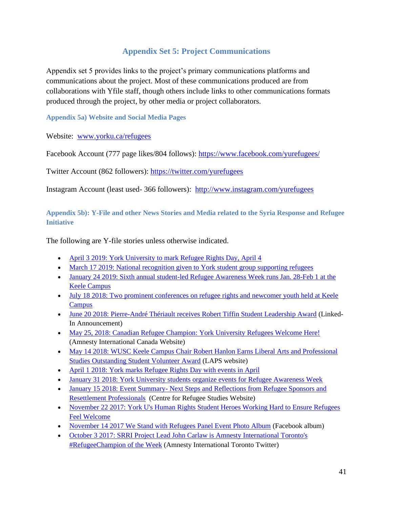# **Appendix Set 5: Project Communications**

<span id="page-41-0"></span>Appendix set 5 provides links to the project's primary communications platforms and communications about the project. Most of these communications produced are from collaborations with Yfile staff, though others include links to other communications formats produced through the project, by other media or project collaborators.

<span id="page-41-1"></span>**Appendix 5a) Website and Social Media Pages**

Website: [www.yorku.ca/refugees](http://www.yorku.ca/refugees)

Facebook Account (777 page likes/804 follows):<https://www.facebook.com/yurefugees/>

Twitter Account (862 followers):<https://twitter.com/yurefugees>

Instagram Account (least used- 366 followers): <http://www.instagram.com/yurefugees>

<span id="page-41-2"></span>**Appendix 5b): Y-File and other News Stories and Media related to the Syria Response and Refugee Initiative**

The following are Y-file stories unless otherwise indicated.

- [April 3 2019: York University to mark Refugee Rights Day, April 4](http://yfile.news.yorku.ca/2019/04/02/wrd/)
- [March 17 2019: National recognition given to York student group supporting refugees](https://yfile.news.yorku.ca/2019/03/17/national-recognition-given-to-york-student-group-supporting-refugees/)
- January 24 2019: Sixth annual student-led Refugee Awareness Week runs Jan. 28-Feb 1 at the [Keele Campus](http://yfile.news.yorku.ca/2019/01/23/sixth-annual-student-led-refugee-awareness-week-runs-jan-28-to-feb-1-at-the-keele-campus/)
- July 18 2018: Two prominent conferences on refugee rights and newcomer youth held at Keele **[Campus](http://yfile.news.yorku.ca/2018/07/18/two-prominent-conferences-on-refugee-rights-and-newcomer-youth-held-at-keele-campus/)**
- [June 20 2018: Pierre-André Thériault receives Robert Tiffin Student Leadership Award](https://www.linkedin.com/pulse/congratulations-pierre-andr%C3%A9-th%C3%A9riault-york-tiffin-award-john-carlaw/) (Linked-In Announcement)
- [May 25, 2018: Canadian Refugee Champion: York University Refugees Welcome Here!](https://www.amnesty.ca/blog/canadian-refugee-champion-york-university-refugees-welcome-here) (Amnesty International Canada Website)
- May 14 2018: WUSC Keele Campus Chair Robert Hanlon Earns Liberal Arts and Professional [Studies Outstanding Student Volunteer Award](https://laps.yorku.ca/2018/05/annual-ceremony-celebrates-student-engagement-and-leadership/) (LAPS website)
- [April 1 2018: York marks Refugee Rights Day with events in April](http://yfile.news.yorku.ca/2018/04/01/york-marks-refugee-rights-day-with-events-in-april/)
- [January 31 2018: York University students organize events for Refugee Awareness Week](http://yfile.news.yorku.ca/2018/01/31/york-university-students-organize-events-for-refugee-awareness-week/)
- January 15 2018: Event Summary- Next Steps and Reflections from Refugee Sponsors and [Resettlement Professionals](http://crs.info.yorku.ca/next-steps-and-reflections-from-refugee-sponsors-and-resettlement-professionals) (Centre for Refugee Studies Website)
- November 22 2017: York U's Human Rights Student Heroes Working Hard to Ensure Refugees [Feel Welcome](http://yfile.news.yorku.ca/2017/11/22/york-us-human-rights-student-heroes-working-hard-to-ensure-refugees-feel-welcome/)
- [November 14 2017 We Stand with Refugees Panel Event Photo Album](https://www.facebook.com/pg/yurefugees/photos/?tab=album&album_id=1372785812829769) (Facebook album)
- October 3 2017: SRRI Project Lead John Carlaw is Amnesty International Toronto's [#RefugeeChampion of the Week](https://twitter.com/AmnestyToronto/status/915192268587401216) (Amnesty International Toronto Twitter)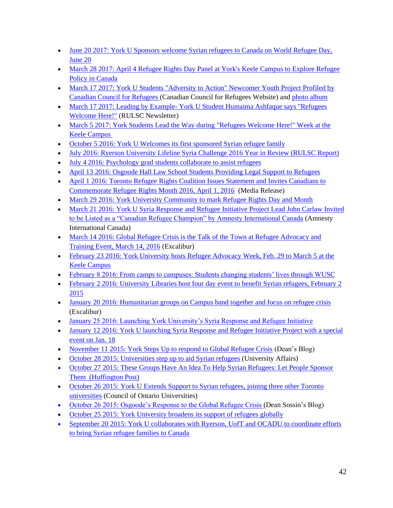- June 20 2017: York U Sponsors welcome Syrian refugees to Canada on World Refugee Day, [June 20](http://yfile.news.yorku.ca/2017/06/19/york-u-sponsors-welcome-syrian-refugees-to-canada-on-world-refugee-day-june-20/)
- March 28 2017: April 4 Refugee Rights Day Panel at York's Keele Campus to Explore Refugee [Policy in Canada](http://yfile.news.yorku.ca/2017/03/28/refugee-rights-day-panel-to-explore-refugee-policy-in-canada/)
- March 17 2017: York U Students "Adversity to Action" Newcomer Youth Project Profiled by [Canadian Council for Refugees \(](http://ccrweb.ca/en/youth/adversity-action)Canadian Council for Refugees Website) and [photo album](https://www.facebook.com/pg/yurefugees/photos/?tab=album&album_id=1128292737279079)
- March 17 2017: Leading by Example- York U Student Humaima Ashfaque says "Refugees" [Welcome Here!"](http://secure.campaigner.com/csb/Public/show/fa7tc--bxlax-5kpsbdk2) (RULSC Newsletter)
- March 5 2017: York Students Lead the Way during "Refugees Welcome Here!" Week at the [Keele Campus](http://yfile.news.yorku.ca/2017/03/05/york-students-lead-the-way-during-refugees-welcome-here-week-at-the-keele-campus/)
- [October 5 2016: York U Welcomes its first sponsored Syrian refugee family](http://yfile.news.yorku.ca/2016/10/05/york-u-welcomes-first-sponsored-syrian-refugee-family/)
- [July 2016: Ryerson University Lifeline Syria Challenge 2016 Year in Review \(RULSC Report\)](https://www.ryerson.ca/content/dam/lifelinesyria/RULSC_AR_REPORT_DIGITAL_July19_AODA_FINAL.pdf)
- [July 4 2016: Psychology grad students collaborate to assist refugees](http://yfile.news.yorku.ca/2016/07/04/psychology-grad-students-collaborate-to-assist-refugees/)
- [April 13 2016: Osgoode Hall Law School Students Providing Legal Support to Refugees](http://yfile.news.yorku.ca/2016/04/13/osgoode-hall-law-school-students-providing-legal-support-to-refugees/)
- April 1 2016: Toronto Refugee Rights Coalition Issues Statement and Invites Canadians to [Commemorate Refugee Rights Month 2016, April 1, 2016](http://www.ocasi.org/commemorate-refugee-rights-month-2016-%E2%80%93-toronto) (Media Release)
- [March 29 2016: York University Community to mark Refugee Rights Day and Month](http://yfile.news.yorku.ca/2016/03/29/york-university-community-to-mark-refugee-rights-day-and-month/)
- [March 21 2016: York U Syria Response and Refugee Initiative Project Lead John Carlaw Invited](http://www.amnesty.ca/blog/canadian-refugee-champion-john-carlaws-story)  [to be Listed as a "Canadian Refugee Champion" by Amnesty International Canada](http://www.amnesty.ca/blog/canadian-refugee-champion-john-carlaws-story) (Amnesty International Canada)
- March 14 2016: Global Refugee Crisis is the Talk of the Town at Refugee Advocacy and [Training Event, March 14, 2016](http://www.excal.on.ca/osgoode-hosts-training-event-during-refugee-advocacy-week/) (Excalibur)
- February 23 2016: York University hosts Refugee Advocacy Week, Feb. 29 to March 5 at the [Keele Campus](http://yfile.news.yorku.ca/2016/02/23/york-university-hosts-refugee-advocacy-week-feb-29-to-march-5-at-the-keele-campus/)
- [February 8 2016: From camps to campuses: Students changing students' lives through WUSC](http://yfile.news.yorku.ca/2016/02/08/from-camps-to-campuses-students-changing-students-lives-with-wusc)
- February 2 2016: University Libraries host four day event to benefit Syrian refugees, February 2 [2015](http://yfile.news.yorku.ca/2016/02/02/university-libraries-hosts-four-day-event-to-benefit-syrian-refugees/)
- [January 20 2016: Humanitarian groups on Campus band together and focus on refugee crisis](http://www.excal.on.ca/humanitarian-groups-on-campus-band-together-and-focus-on-refugee-crisis/) (Excalibur)
- [January 25 2016: Launching York University's Syria Response and Refugee Initiative](http://deansblog.osgoode.yorku.ca/2016/01/launching-york-universitys-syria-response-and-refugee-initiative/)
- January 12 2016: York U launching Syria Response and Refugee Initiative Project with a special [event on Jan. 18](http://yfile.news.yorku.ca/2016/01/12/york-u-launching-syria-response-and-refugee-initiative-project-with-a-special-event-on-jan-18/)
- November 11 2015: [York Steps Up to respond to Global Refugee Crisis](http://deansblog.osgoode.yorku.ca/2015/11/york-steps-up-for-global-refugee-crisis/) (Dean's Blog)
- [October 28 2015: Universities step up to aid Syrian refugees](https://www.universityaffairs.ca/news/news-article/universities-step-up-to-aid-syrian-refugees/) (University Affairs)
- October 27 2015: These Groups Have An Idea To Help Syrian Refugees: Let People Sponsor [Them](http://www.huffingtonpost.com/entry/syrian-refugee-resettlement_562fc4a1e4b0c66bae59c4c3) (Huffington Post)
- October 26 2015: York U Extends Support to Syrian refugees, joining three other Toronto [universities](https://cou.ca/articles/york-u-extends-support-to-syrian-refugees-joining-three-other-toronto-universities/) (Council of Ontario Universities)
- [October 26 2015: Osgoode's Response to the Global Refugee Crisis \(](http://deansblog.osgoode.yorku.ca/2015/10/osgoodes-response-to-the-global-refugee-crisis/)Dean Sossin's Blog)
- [October 25 2015: York University broadens its support of refugees globally](http://yfile.news.yorku.ca/2015/10/25/york-university-broadens-its-support-of-refugees-globally/)
- September 20 2015: York U collaborates with Ryerson, UofT and OCADU to coordinate efforts [to bring Syrian refugee families to Canada](http://yfile.news.yorku.ca/2015/09/20/york-u-collaborates-with-ryerson-uoft-and-ocad-to-coordinate-efforts-to-bring-syrian-refugee-families-to-canada/)